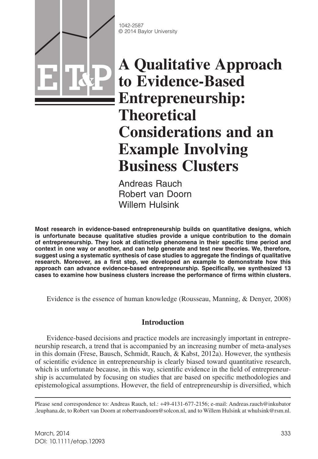

1042-2587 © 2014 Baylor University

# **A Qualitative Approach to Evidence-Based Entrepreneurship: Theoretical Considerations and an Example Involving Business Clusters**

Andreas Rauch Robert van Doorn Willem Hulsink

**Most research in evidence-based entrepreneurship builds on quantitative designs, which is unfortunate because qualitative studies provide a unique contribution to the domain of entrepreneurship. They look at distinctive phenomena in their specific time period and context in one way or another, and can help generate and test new theories. We, therefore, suggest using a systematic synthesis of case studies to aggregate the findings of qualitative research. Moreover, as a first step, we developed an example to demonstrate how this approach can advance evidence-based entrepreneurship. Specifically, we synthesized 13 cases to examine how business clusters increase the performance of firms within clusters.**

Evidence is the essence of human knowledge (Rousseau, Manning, & Denyer, 2008)

# **Introduction**

Evidence-based decisions and practice models are increasingly important in entrepreneurship research, a trend that is accompanied by an increasing number of meta-analyses in this domain (Frese, Bausch, Schmidt, Rauch, & Kabst, 2012a). However, the synthesis of scientific evidence in entrepreneurship is clearly biased toward quantitative research, which is unfortunate because, in this way, scientific evidence in the field of entrepreneurship is accumulated by focusing on studies that are based on specific methodologies and epistemological assumptions. However, the field of entrepreneurship is diversified, which

Please send correspondence to: Andreas Rauch, tel.: +49-4131-677-2156; e-mail: Andreas.rauch@inkubator .leuphana.de, to Robert van Doorn at robertvandoorn@solcon.nl, and to Willem Hulsink at whulsink@rsm.nl.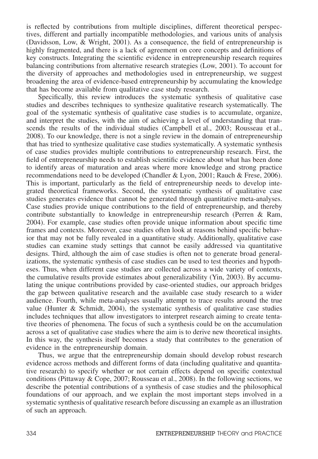is reflected by contributions from multiple disciplines, different theoretical perspectives, different and partially incompatible methodologies, and various units of analysis (Davidsson, Low, & Wright, 2001). As a consequence, the field of entrepreneurship is highly fragmented, and there is a lack of agreement on core concepts and definitions of key constructs. Integrating the scientific evidence in entrepreneurship research requires balancing contributions from alternative research strategies (Low, 2001). To account for the diversity of approaches and methodologies used in entrepreneurship, we suggest broadening the area of evidence-based entrepreneurship by accumulating the knowledge that has become available from qualitative case study research.

Specifically, this review introduces the systematic synthesis of qualitative case studies and describes techniques to synthesize qualitative research systematically. The goal of the systematic synthesis of qualitative case studies is to accumulate, organize, and interpret the studies, with the aim of achieving a level of understanding that transcends the results of the individual studies (Campbell et al., 2003; Rousseau et al., 2008). To our knowledge, there is not a single review in the domain of entrepreneurship that has tried to synthesize qualitative case studies systematically. A systematic synthesis of case studies provides multiple contributions to entrepreneurship research. First, the field of entrepreneurship needs to establish scientific evidence about what has been done to identify areas of maturation and areas where more knowledge and strong practice recommendations need to be developed (Chandler & Lyon, 2001; Rauch & Frese, 2006). This is important, particularly as the field of entrepreneurship needs to develop integrated theoretical frameworks. Second, the systematic synthesis of qualitative case studies generates evidence that cannot be generated through quantitative meta-analyses. Case studies provide unique contributions to the field of entrepreneurship, and thereby contribute substantially to knowledge in entrepreneurship research (Perren & Ram, 2004). For example, case studies often provide unique information about specific time frames and contexts. Moreover, case studies often look at reasons behind specific behavior that may not be fully revealed in a quantitative study. Additionally, qualitative case studies can examine study settings that cannot be easily addressed via quantitative designs. Third, although the aim of case studies is often not to generate broad generalizations, the systematic synthesis of case studies can be used to test theories and hypotheses. Thus, when different case studies are collected across a wide variety of contexts, the cumulative results provide estimates about generalizability (Yin, 2003). By accumulating the unique contributions provided by case-oriented studies, our approach bridges the gap between qualitative research and the available case study research to a wider audience. Fourth, while meta-analyses usually attempt to trace results around the true value (Hunter  $\&$  Schmidt, 2004), the systematic synthesis of qualitative case studies includes techniques that allow investigators to interpret research aiming to create tentative theories of phenomena. The focus of such a synthesis could be on the accumulation across a set of qualitative case studies where the aim is to derive new theoretical insights. In this way, the synthesis itself becomes a study that contributes to the generation of evidence in the entrepreneurship domain.

Thus, we argue that the entrepreneurship domain should develop robust research evidence across methods and different forms of data (including qualitative and quantitative research) to specify whether or not certain effects depend on specific contextual conditions (Pittaway & Cope, 2007; Rousseau et al., 2008). In the following sections, we describe the potential contributions of a synthesis of case studies and the philosophical foundations of our approach, and we explain the most important steps involved in a systematic synthesis of qualitative research before discussing an example as an illustration of such an approach.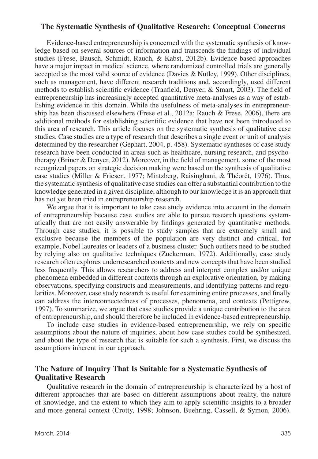#### **The Systematic Synthesis of Qualitative Research: Conceptual Concerns**

Evidence-based entrepreneurship is concerned with the systematic synthesis of knowledge based on several sources of information and transcends the findings of individual studies (Frese, Bausch, Schmidt, Rauch, & Kabst, 2012b). Evidence-based approaches have a major impact in medical science, where randomized controlled trials are generally accepted as the most valid source of evidence (Davies & Nutley, 1999). Other disciplines, such as management, have different research traditions and, accordingly, used different methods to establish scientific evidence (Tranfield, Denyer, & Smart, 2003). The field of entrepreneurship has increasingly accepted quantitative meta-analyses as a way of establishing evidence in this domain. While the usefulness of meta-analyses in entrepreneurship has been discussed elsewhere (Frese et al., 2012a; Rauch & Frese, 2006), there are additional methods for establishing scientific evidence that have not been introduced to this area of research. This article focuses on the systematic synthesis of qualitative case studies. Case studies are a type of research that describes a single event or unit of analysis determined by the researcher (Gephart, 2004, p. 458). Systematic syntheses of case study research have been conducted in areas such as healthcare, nursing research, and psychotherapy (Briner & Denyer, 2012). Moreover, in the field of management, some of the most recognized papers on strategic decision making were based on the synthesis of qualitative case studies (Miller & Friesen, 1977; Mintzberg, Raisinghani, & Théorêt, 1976). Thus, the systematic synthesis of qualitative case studies can offer a substantial contribution to the knowledge generated in a given discipline, although to our knowledge it is an approach that has not yet been tried in entrepreneurship research.

We argue that it is important to take case study evidence into account in the domain of entrepreneurship because case studies are able to pursue research questions systematically that are not easily answerable by findings generated by quantitative methods. Through case studies, it is possible to study samples that are extremely small and exclusive because the members of the population are very distinct and critical, for example, Nobel laureates or leaders of a business cluster. Such outliers need to be studied by relying also on qualitative techniques (Zuckerman, 1972). Additionally, case study research often explores underresearched contexts and new concepts that have been studied less frequently. This allows researchers to address and interpret complex and/or unique phenomena embedded in different contexts through an explorative orientation, by making observations, specifying constructs and measurements, and identifying patterns and regularities. Moreover, case study research is useful for examining entire processes, and finally can address the interconnectedness of processes, phenomena, and contexts (Pettigrew, 1997). To summarize, we argue that case studies provide a unique contribution to the area of entrepreneurship, and should therefore be included in evidence-based entrepreneurship.

To include case studies in evidence-based entrepreneurship, we rely on specific assumptions about the nature of inquiries, about how case studies could be synthesized, and about the type of research that is suitable for such a synthesis. First, we discuss the assumptions inherent in our approach.

# **The Nature of Inquiry That Is Suitable for a Systematic Synthesis of Qualitative Research**

Qualitative research in the domain of entrepreneurship is characterized by a host of different approaches that are based on different assumptions about reality, the nature of knowledge, and the extent to which they aim to apply scientific insights to a broader and more general context (Crotty, 1998; Johnson, Buehring, Cassell, & Symon, 2006).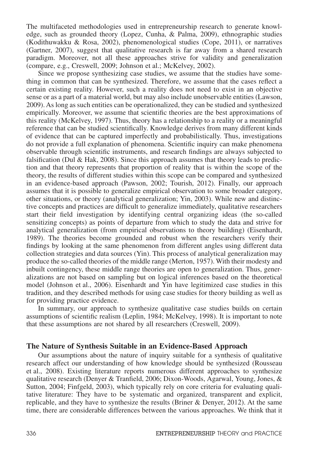The multifaceted methodologies used in entrepreneurship research to generate knowledge, such as grounded theory (Lopez, Cunha, & Palma, 2009), ethnographic studies (Kodithuwakku & Rosa, 2002), phenomenological studies (Cope, 2011), or narratives (Gartner, 2007), suggest that qualitative research is far away from a shared research paradigm. Moreover, not all these approaches strive for validity and generalization (compare, e.g., Creswell, 2009; Johnson et al.; McKelvey, 2002).

Since we propose synthesizing case studies, we assume that the studies have something in common that can be synthesized. Therefore, we assume that the cases reflect a certain existing reality. However, such a reality does not need to exist in an objective sense or as a part of a material world, but may also include unobservable entities (Lawson, 2009). As long as such entities can be operationalized, they can be studied and synthesized empirically. Moreover, we assume that scientific theories are the best approximations of this reality (McKelvey, 1997). Thus, theory has a relationship to a reality or a meaningful reference that can be studied scientifically. Knowledge derives from many different kinds of evidence that can be captured imperfectly and probabilistically. Thus, investigations do not provide a full explanation of phenomena. Scientific inquiry can make phenomena observable through scientific instruments, and research findings are always subjected to falsification (Dul  $\&$  Hak, 2008). Since this approach assumes that theory leads to prediction and that theory represents that proportion of reality that is within the scope of the theory, the results of different studies within this scope can be compared and synthesized in an evidence-based approach (Pawson, 2002; Tourish, 2012). Finally, our approach assumes that it is possible to generalize empirical observation to some broader category, other situations, or theory (analytical generalization; Yin, 2003). While new and distinctive concepts and practices are difficult to generalize immediately, qualitative researchers start their field investigation by identifying central organizing ideas (the so-called sensitizing concepts) as points of departure from which to study the data and strive for analytical generalization (from empirical observations to theory building) (Eisenhardt, 1989). The theories become grounded and robust when the researchers verify their findings by looking at the same phenomenon from different angles using different data collection strategies and data sources (Yin). This process of analytical generalization may produce the so-called theories of the middle range (Merton, 1957). With their modesty and inbuilt contingency, these middle range theories are open to generalization. Thus, generalizations are not based on sampling but on logical inferences based on the theoretical model (Johnson et al., 2006). Eisenhardt and Yin have legitimized case studies in this tradition, and they described methods for using case studies for theory building as well as for providing practice evidence.

In summary, our approach to synthesize qualitative case studies builds on certain assumptions of scientific realism (Leplin, 1984; McKelvey, 1998). It is important to note that these assumptions are not shared by all researchers (Creswell, 2009).

#### **The Nature of Synthesis Suitable in an Evidence-Based Approach**

Our assumptions about the nature of inquiry suitable for a synthesis of qualitative research affect our understanding of how knowledge should be synthesized (Rousseau et al., 2008). Existing literature reports numerous different approaches to synthesize qualitative research (Denyer & Tranfield, 2006; Dixon-Woods, Agarwal, Young, Jones, & Sutton, 2004; Finfgeld, 2003), which typically rely on core criteria for evaluating qualitative literature: They have to be systematic and organized, transparent and explicit, replicable, and they have to synthesize the results (Briner & Denyer, 2012). At the same time, there are considerable differences between the various approaches. We think that it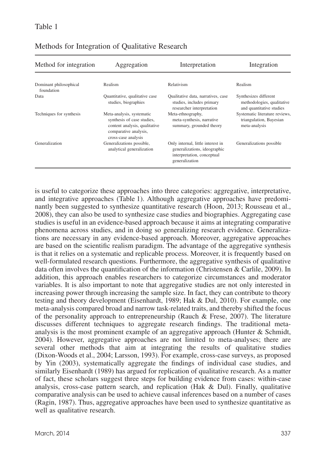| Method for integration               | Aggregation                                                                                                                              | Interpretation                                                                                                    | Integration                                                                     |
|--------------------------------------|------------------------------------------------------------------------------------------------------------------------------------------|-------------------------------------------------------------------------------------------------------------------|---------------------------------------------------------------------------------|
| Dominant philosophical<br>foundation | Realism                                                                                                                                  | Relativism                                                                                                        | Realism                                                                         |
| Data                                 | Quantitative, qualitative case<br>studies, biographies                                                                                   | Qualitative data, narratives, case<br>studies, includes primary<br>researcher interpretation                      | Synthesizes different<br>methodologies, qualitative<br>and quantitative studies |
| Techniques for synthesis             | Meta-analysis, systematic<br>synthesis of case studies,<br>content analysis, qualitative<br>comparative analysis,<br>cross-case analysis | Meta-ethnography,<br>meta-synthesis, narrative<br>summary, grounded theory                                        | Systematic literature reviews,<br>triangulation, Bayesian<br>meta-analysis      |
| Generalization                       | Generalizations possible,<br>analytical generalization                                                                                   | Only internal, little interest in<br>generalizations, ideographic<br>interpretation, conceptual<br>generalization | Generalizations possible                                                        |

# Methods for Integration of Qualitative Research

is useful to categorize these approaches into three categories: aggregative, interpretative, and integrative approaches (Table 1). Although aggregative approaches have predominantly been suggested to synthesize quantitative research (Hoon, 2013; Rousseau et al., 2008), they can also be used to synthesize case studies and biographies. Aggregating case studies is useful in an evidence-based approach because it aims at integrating comparative phenomena across studies, and in doing so generalizing research evidence. Generalizations are necessary in any evidence-based approach. Moreover, aggregative approaches are based on the scientific realism paradigm. The advantage of the aggregative synthesis is that it relies on a systematic and replicable process. Moreover, it is frequently based on well-formulated research questions. Furthermore, the aggregative synthesis of qualitative data often involves the quantification of the information (Christensen & Carlile, 2009). In addition, this approach enables researchers to categorize circumstances and moderator variables. It is also important to note that aggregative studies are not only interested in increasing power through increasing the sample size. In fact, they can contribute to theory testing and theory development (Eisenhardt, 1989; Hak & Dul, 2010). For example, one meta-analysis compared broad and narrow task-related traits, and thereby shifted the focus of the personality approach to entrepreneurship (Rauch & Frese, 2007). The literature discusses different techniques to aggregate research findings. The traditional metaanalysis is the most prominent example of an aggregative approach (Hunter  $&$  Schmidt, 2004). However, aggregative approaches are not limited to meta-analyses; there are several other methods that aim at integrating the results of qualitative studies (Dixon-Woods et al., 2004; Larsson, 1993). For example, cross-case surveys, as proposed by Yin (2003), systematically aggregate the findings of individual case studies, and similarly Eisenhardt (1989) has argued for replication of qualitative research. As a matter of fact, these scholars suggest three steps for building evidence from cases: within-case analysis, cross-case pattern search, and replication (Hak & Dul). Finally, qualitative comparative analysis can be used to achieve causal inferences based on a number of cases (Ragin, 1987). Thus, aggregative approaches have been used to synthesize quantitative as well as qualitative research.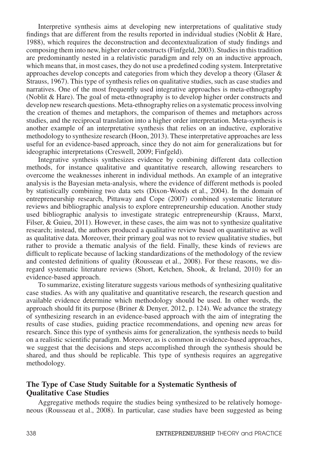Interpretive synthesis aims at developing new interpretations of qualitative study findings that are different from the results reported in individual studies (Noblit  $\&$  Hare, 1988), which requires the deconstruction and decontextualization of study findings and composing them into new, higher order constructs (Finfgeld, 2003). Studies in this tradition are predominantly nested in a relativistic paradigm and rely on an inductive approach, which means that, in most cases, they do not use a predefined coding system. Interpretative approaches develop concepts and categories from which they develop a theory (Glaser & Strauss, 1967). This type of synthesis relies on qualitative studies, such as case studies and narratives. One of the most frequently used integrative approaches is meta-ethnography (Noblit & Hare). The goal of meta-ethnography is to develop higher order constructs and develop new research questions. Meta-ethnography relies on a systematic process involving the creation of themes and metaphors, the comparison of themes and metaphors across studies, and the reciprocal translation into a higher order interpretation. Meta-synthesis is another example of an interpretative synthesis that relies on an inductive, explorative methodology to synthesize research (Hoon, 2013). These interpretative approaches are less useful for an evidence-based approach, since they do not aim for generalizations but for ideographic interpretations (Creswell, 2009; Finfgeld).

Integrative synthesis synthesizes evidence by combining different data collection methods, for instance qualitative and quantitative research, allowing researchers to overcome the weaknesses inherent in individual methods. An example of an integrative analysis is the Bayesian meta-analysis, where the evidence of different methods is pooled by statistically combining two data sets (Dixon-Woods et al., 2004). In the domain of entrepreneurship research, Pittaway and Cope (2007) combined systematic literature reviews and bibliographic analysis to explore entrepreneurship education. Another study used bibliographic analysis to investigate strategic entrepreneurship (Krauss, Marxt, Filser, & Guieu, 2011). However, in these cases, the aim was not to synthesize qualitative research; instead, the authors produced a qualitative review based on quantitative as well as qualitative data. Moreover, their primary goal was not to review qualitative studies, but rather to provide a thematic analysis of the field. Finally, these kinds of reviews are difficult to replicate because of lacking standardizations of the methodology of the review and contested definitions of quality (Rousseau et al., 2008). For these reasons, we disregard systematic literature reviews (Short, Ketchen, Shook, & Ireland, 2010) for an evidence-based approach.

To summarize, existing literature suggests various methods of synthesizing qualitative case studies. As with any qualitative and quantitative research, the research question and available evidence determine which methodology should be used. In other words, the approach should fit its purpose (Briner & Denyer, 2012, p. 124). We advance the strategy of synthesizing research in an evidence-based approach with the aim of integrating the results of case studies, guiding practice recommendations, and opening new areas for research. Since this type of synthesis aims for generalization, the synthesis needs to build on a realistic scientific paradigm. Moreover, as is common in evidence-based approaches, we suggest that the decisions and steps accomplished through the synthesis should be shared, and thus should be replicable. This type of synthesis requires an aggregative methodology.

# **The Type of Case Study Suitable for a Systematic Synthesis of Qualitative Case Studies**

Aggregative methods require the studies being synthesized to be relatively homogeneous (Rousseau et al., 2008). In particular, case studies have been suggested as being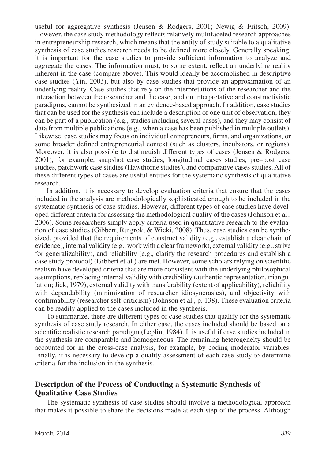useful for aggregative synthesis (Jensen & Rodgers, 2001; Newig & Fritsch, 2009). However, the case study methodology reflects relatively multifaceted research approaches in entrepreneurship research, which means that the entity of study suitable to a qualitative synthesis of case studies research needs to be defined more closely. Generally speaking, it is important for the case studies to provide sufficient information to analyze and aggregate the cases. The information must, to some extent, reflect an underlying reality inherent in the case (compare above). This would ideally be accomplished in descriptive case studies (Yin, 2003), but also by case studies that provide an approximation of an underlying reality. Case studies that rely on the interpretations of the researcher and the interaction between the researcher and the case, and on interpretative and constructivistic paradigms, cannot be synthesized in an evidence-based approach. In addition, case studies that can be used for the synthesis can include a description of one unit of observation, they can be part of a publication (e.g., studies including several cases), and they may consist of data from multiple publications (e.g., when a case has been published in multiple outlets). Likewise, case studies may focus on individual entrepreneurs, firms, and organizations, or some broader defined entrepreneurial context (such as clusters, incubators, or regions). Moreover, it is also possible to distinguish different types of cases (Jensen & Rodgers, 2001), for example, snapshot case studies, longitudinal cases studies, pre–post case studies, patchwork case studies (Hawthorne studies), and comparative cases studies. All of these different types of cases are useful entities for the systematic synthesis of qualitative research.

In addition, it is necessary to develop evaluation criteria that ensure that the cases included in the analysis are methodologically sophisticated enough to be included in the systematic synthesis of case studies. However, different types of case studies have developed different criteria for assessing the methodological quality of the cases (Johnson et al., 2006). Some researchers simply apply criteria used in quantitative research to the evaluation of case studies (Gibbert, Ruigrok, & Wicki, 2008). Thus, case studies can be synthesized, provided that the requirements of construct validity (e.g., establish a clear chain of evidence), internal validity (e.g., work with a clear framework), external validity (e.g., strive for generalizability), and reliability (e.g., clarify the research procedures and establish a case study protocol) (Gibbert et al.) are met. However, some scholars relying on scientific realism have developed criteria that are more consistent with the underlying philosophical assumptions, replacing internal validity with credibility (authentic representation, triangulation; Jick, 1979), external validity with transferability (extent of applicability), reliability with dependability (minimization of researcher idiosyncrasies), and objectivity with confirmability (researcher self-criticism) (Johnson et al., p. 138). These evaluation criteria can be readily applied to the cases included in the synthesis.

To summarize, there are different types of case studies that qualify for the systematic synthesis of case study research. In either case, the cases included should be based on a scientific realistic research paradigm (Leplin, 1984). It is useful if case studies included in the synthesis are comparable and homogeneous. The remaining heterogeneity should be accounted for in the cross-case analysis, for example, by coding moderator variables. Finally, it is necessary to develop a quality assessment of each case study to determine criteria for the inclusion in the synthesis.

# **Description of the Process of Conducting a Systematic Synthesis of Qualitative Case Studies**

The systematic synthesis of case studies should involve a methodological approach that makes it possible to share the decisions made at each step of the process. Although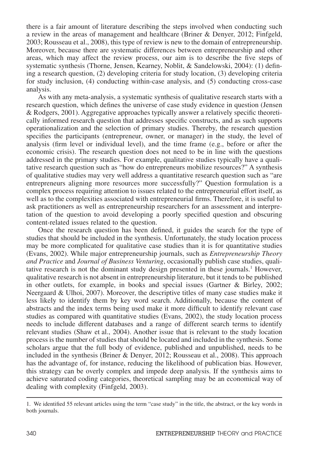there is a fair amount of literature describing the steps involved when conducting such a review in the areas of management and healthcare (Briner & Denyer, 2012; Finfgeld, 2003; Rousseau et al., 2008), this type of review is new to the domain of entrepreneurship. Moreover, because there are systematic differences between entrepreneurship and other areas, which may affect the review process, our aim is to describe the five steps of systematic synthesis (Thorne, Jensen, Kearney, Noblit, & Sandelowski, 2004): (1) defining a research question, (2) developing criteria for study location, (3) developing criteria for study inclusion, (4) conducting within-case analysis, and (5) conducting cross-case analysis.

As with any meta-analysis, a systematic synthesis of qualitative research starts with a research question, which defines the universe of case study evidence in question (Jensen & Rodgers, 2001). Aggregative approaches typically answer a relatively specific theoretically informed research question that addresses specific constructs, and as such supports operationalization and the selection of primary studies. Thereby, the research question specifies the participants (entrepreneur, owner, or manager) in the study, the level of analysis (firm level or individual level), and the time frame (e.g., before or after the economic crisis). The research question does not need to be in line with the questions addressed in the primary studies. For example, qualitative studies typically have a qualitative research question such as "how do entrepreneurs mobilize resources?" A synthesis of qualitative studies may very well address a quantitative research question such as "are entrepreneurs aligning more resources more successfully?" Question formulation is a complex process requiring attention to issues related to the entrepreneurial effort itself, as well as to the complexities associated with entrepreneurial firms. Therefore, it is useful to ask practitioners as well as entrepreneurship researchers for an assessment and interpretation of the question to avoid developing a poorly specified question and obscuring content-related issues related to the question.

Once the research question has been defined, it guides the search for the type of studies that should be included in the synthesis. Unfortunately, the study location process may be more complicated for qualitative case studies than it is for quantitative studies (Evans, 2002). While major entrepreneurship journals, such as *Entrepreneurship Theory and Practice* and *Journal of Business Venturing*, occasionally publish case studies, qualitative research is not the dominant study design presented in these journals.<sup>1</sup> However, qualitative research is not absent in entrepreneurship literature, but it tends to be published in other outlets, for example, in books and special issues (Gartner & Birley, 2002; Neergaard & Ulhoi, 2007). Moreover, the descriptive titles of many case studies make it less likely to identify them by key word search. Additionally, because the content of abstracts and the index terms being used make it more difficult to identify relevant case studies as compared with quantitative studies (Evans, 2002), the study location process needs to include different databases and a range of different search terms to identify relevant studies (Shaw et al., 2004). Another issue that is relevant to the study location process is the number of studies that should be located and included in the synthesis. Some scholars argue that the full body of evidence, published and unpublished, needs to be included in the synthesis (Briner & Denyer, 2012; Rousseau et al., 2008). This approach has the advantage of, for instance, reducing the likelihood of publication bias. However, this strategy can be overly complex and impede deep analysis. If the synthesis aims to achieve saturated coding categories, theoretical sampling may be an economical way of dealing with complexity (Finfgeld, 2003).

<sup>1.</sup> We identified 55 relevant articles using the term "case study" in the title, the abstract, or the key words in both journals.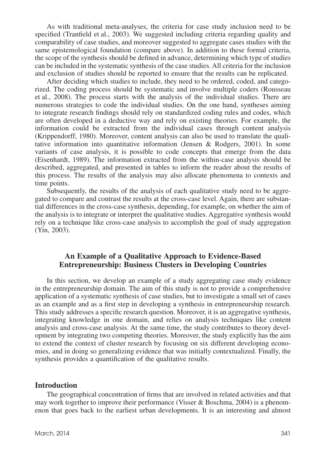As with traditional meta-analyses, the criteria for case study inclusion need to be specified (Tranfield et al., 2003). We suggested including criteria regarding quality and comparability of case studies, and moreover suggested to aggregate cases studies with the same epistemological foundation (compare above). In addition to these formal criteria, the scope of the synthesis should be defined in advance, determining which type of studies can be included in the systematic synthesis of the case studies. All criteria for the inclusion and exclusion of studies should be reported to ensure that the results can be replicated.

After deciding which studies to include, they need to be ordered, coded, and categorized. The coding process should be systematic and involve multiple coders (Rousseau et al., 2008). The process starts with the analysis of the individual studies. There are numerous strategies to code the individual studies. On the one hand, syntheses aiming to integrate research findings should rely on standardized coding rules and codes, which are often developed in a deductive way and rely on existing theories. For example, the information could be extracted from the individual cases through content analysis (Krippendorff, 1980). Moreover, content analysis can also be used to translate the qualitative information into quantitative information (Jensen & Rodgers, 2001). In some variants of case analysis, it is possible to code concepts that emerge from the data (Eisenhardt, 1989). The information extracted from the within-case analysis should be described, aggregated, and presented in tables to inform the reader about the results of this process. The results of the analysis may also allocate phenomena to contexts and time points.

Subsequently, the results of the analysis of each qualitative study need to be aggregated to compare and contrast the results at the cross-case level. Again, there are substantial differences in the cross-case synthesis, depending, for example, on whether the aim of the analysis is to integrate or interpret the qualitative studies. Aggregative synthesis would rely on a technique like cross-case analysis to accomplish the goal of study aggregation (Yin, 2003).

# **An Example of a Qualitative Approach to Evidence-Based Entrepreneurship: Business Clusters in Developing Countries**

In this section, we develop an example of a study aggregating case study evidence in the entrepreneurship domain. The aim of this study is not to provide a comprehensive application of a systematic synthesis of case studies, but to investigate a small set of cases as an example and as a first step in developing a synthesis in entrepreneurship research. This study addresses a specific research question. Moreover, it is an aggregative synthesis, integrating knowledge in one domain, and relies on analysis techniques like content analysis and cross-case analysis. At the same time, the study contributes to theory development by integrating two competing theories. Moreover, the study explicitly has the aim to extend the context of cluster research by focusing on six different developing economies, and in doing so generalizing evidence that was initially contextualized. Finally, the synthesis provides a quantification of the qualitative results.

#### **Introduction**

The geographical concentration of firms that are involved in related activities and that may work together to improve their performance (Visser & Boschma, 2004) is a phenomenon that goes back to the earliest urban developments. It is an interesting and almost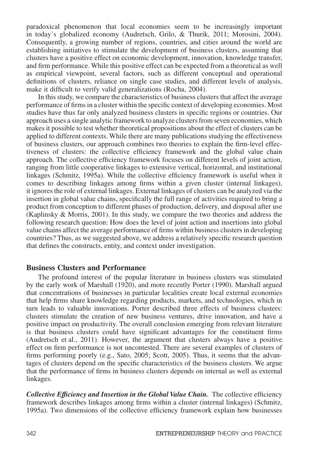paradoxical phenomenon that local economies seem to be increasingly important in today's globalized economy (Audretsch, Grilo, & Thurik, 2011; Morosini, 2004). Consequently, a growing number of regions, countries, and cities around the world are establishing initiatives to stimulate the development of business clusters, assuming that clusters have a positive effect on economic development, innovation, knowledge transfer, and firm performance. While this positive effect can be expected from a theoretical as well as empirical viewpoint, several factors, such as different conceptual and operational definitions of clusters, reliance on single case studies, and different levels of analysis, make it difficult to verify valid generalizations (Rocha, 2004).

In this study, we compare the characteristics of business clusters that affect the average performance of firms in a cluster within the specific context of developing economies. Most studies have thus far only analyzed business clusters in specific regions or countries. Our approach uses a single analytic framework to analyze clusters from seven economies, which makes it possible to test whether theoretical propositions about the effect of clusters can be applied to different contexts. While there are many publications studying the effectiveness of business clusters, our approach combines two theories to explain the firm-level effectiveness of clusters: the collective efficiency framework and the global value chain approach. The collective efficiency framework focuses on different levels of joint action, ranging from little cooperative linkages to extensive vertical, horizontal, and institutional linkages (Schmitz, 1995a). While the collective efficiency framework is useful when it comes to describing linkages among firms within a given cluster (internal linkages), it ignores the role of external linkages. External linkages of clusters can be analyzed via the insertion in global value chains, specifically the full range of activities required to bring a product from conception to different phases of production, delivery, and disposal after use (Kaplinsky & Morris, 2001). In this study, we compare the two theories and address the following research question: How does the level of joint action and insertions into global value chains affect the average performance of firms within business clusters in developing countries? Thus, as we suggested above, we address a relatively specific research question that defines the constructs, entity, and context under investigation.

# **Business Clusters and Performance**

The profound interest of the popular literature in business clusters was stimulated by the early work of Marshall (1920), and more recently Porter (1990). Marshall argued that concentrations of businesses in particular localities create local external economies that help firms share knowledge regarding products, markets, and technologies, which in turn leads to valuable innovations. Porter described three effects of business clusters: clusters stimulate the creation of new business ventures, drive innovation, and have a positive impact on productivity. The overall conclusion emerging from relevant literature is that business clusters could have significant advantages for the constituent firms (Audretsch et al., 2011). However, the argument that clusters always have a positive effect on firm performance is not uncontested. There are several examples of clusters of firms performing poorly (e.g., Sato, 2005; Scott, 2005). Thus, it seems that the advantages of clusters depend on the specific characteristics of the business clusters. We argue that the performance of firms in business clusters depends on internal as well as external linkages.

*Collective Efficiency and Insertion in the Global Value Chain.* The collective efficiency framework describes linkages among firms within a cluster (internal linkages) (Schmitz, 1995a). Two dimensions of the collective efficiency framework explain how businesses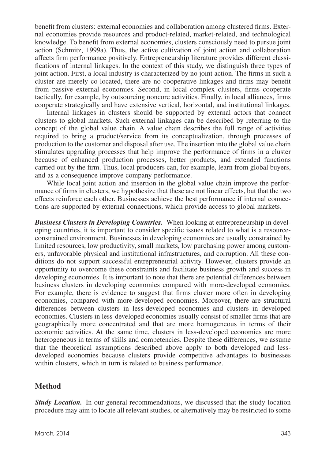benefit from clusters: external economies and collaboration among clustered firms. External economies provide resources and product-related, market-related, and technological knowledge. To benefit from external economies, clusters consciously need to pursue joint action (Schmitz, 1999a). Thus, the active cultivation of joint action and collaboration affects firm performance positively. Entrepreneurship literature provides different classifications of internal linkages. In the context of this study, we distinguish three types of joint action. First, a local industry is characterized by no joint action. The firms in such a cluster are merely co-located, there are no cooperative linkages and firms may benefit from passive external economies. Second, in local complex clusters, firms cooperate tactically, for example, by outsourcing noncore activities. Finally, in local alliances, firms cooperate strategically and have extensive vertical, horizontal, and institutional linkages.

Internal linkages in clusters should be supported by external actors that connect clusters to global markets. Such external linkages can be described by referring to the concept of the global value chain. A value chain describes the full range of activities required to bring a product/service from its conceptualization, through processes of production to the customer and disposal after use. The insertion into the global value chain stimulates upgrading processes that help improve the performance of firms in a cluster because of enhanced production processes, better products, and extended functions carried out by the firm. Thus, local producers can, for example, learn from global buyers, and as a consequence improve company performance.

While local joint action and insertion in the global value chain improve the performance of firms in clusters, we hypothesize that these are not linear effects, but that the two effects reinforce each other. Businesses achieve the best performance if internal connections are supported by external connections, which provide access to global markets.

*Business Clusters in Developing Countries.* When looking at entrepreneurship in developing countries, it is important to consider specific issues related to what is a resourceconstrained environment. Businesses in developing economies are usually constrained by limited resources, low productivity, small markets, low purchasing power among customers, unfavorable physical and institutional infrastructures, and corruption. All these conditions do not support successful entrepreneurial activity. However, clusters provide an opportunity to overcome these constraints and facilitate business growth and success in developing economies. It is important to note that there are potential differences between business clusters in developing economies compared with more-developed economies. For example, there is evidence to suggest that firms cluster more often in developing economies, compared with more-developed economies. Moreover, there are structural differences between clusters in less-developed economies and clusters in developed economies. Clusters in less-developed economies usually consist of smaller firms that are geographically more concentrated and that are more homogeneous in terms of their economic activities. At the same time, clusters in less-developed economies are more heterogeneous in terms of skills and competencies. Despite these differences, we assume that the theoretical assumptions described above apply to both developed and lessdeveloped economies because clusters provide competitive advantages to businesses within clusters, which in turn is related to business performance.

# **Method**

*Study Location.* In our general recommendations, we discussed that the study location procedure may aim to locate all relevant studies, or alternatively may be restricted to some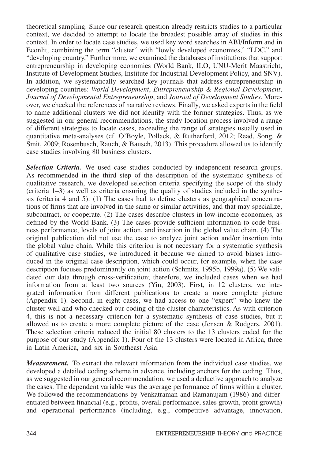theoretical sampling. Since our research question already restricts studies to a particular context, we decided to attempt to locate the broadest possible array of studies in this context. In order to locate case studies, we used key word searches in ABI/Inform and in Econlit, combining the term "cluster" with "lowly developed economies," "LDC," and "developing country." Furthermore, we examined the databases of institutions that support entrepreneurship in developing economies (World Bank, ILO, UNU-Merit Maastricht, Institute of Development Studies, Institute for Industrial Development Policy, and SNV). In addition, we systematically searched key journals that address entrepreneurship in developing countries: *World Development*, *Entrepreneurship & Regional Development*, *Journal of Developmental Entrepreneurship*, and *Journal of Development Studies*. Moreover, we checked the references of narrative reviews. Finally, we asked experts in the field to name additional clusters we did not identify with the former strategies. Thus, as we suggested in our general recommendations, the study location process involved a range of different strategies to locate cases, exceeding the range of strategies usually used in quantitative meta-analyses (cf. O'Boyle, Pollack, & Rutherford, 2012; Read, Song, & Smit, 2009; Rosenbusch, Rauch, & Bausch, 2013). This procedure allowed us to identify case studies involving 80 business clusters.

**Selection Criteria.** We used case studies conducted by independent research groups. As recommended in the third step of the description of the systematic synthesis of qualitative research, we developed selection criteria specifying the scope of the study (criteria 1–3) as well as criteria ensuring the quality of studies included in the synthesis (criteria 4 and 5): (1) The cases had to define clusters as geographical concentrations of firms that are involved in the same or similar activities, and that may specialize, subcontract, or cooperate. (2) The cases describe clusters in low-income economies, as defined by the World Bank. (3) The cases provide sufficient information to code business performance, levels of joint action, and insertion in the global value chain. (4) The original publication did not use the case to analyze joint action and/or insertion into the global value chain. While this criterion is not necessary for a systematic synthesis of qualitative case studies, we introduced it because we aimed to avoid biases introduced in the original case description, which could occur, for example, when the case description focuses predominantly on joint action (Schmitz, 1995b, 1999a). (5) We validated our data through cross-verification; therefore, we included cases when we had information from at least two sources (Yin, 2003). First, in 12 clusters, we integrated information from different publications to create a more complete picture (Appendix 1). Second, in eight cases, we had access to one "expert" who knew the cluster well and who checked our coding of the cluster characteristics. As with criterion 4, this is not a necessary criterion for a systematic synthesis of case studies, but it allowed us to create a more complete picture of the case (Jensen & Rodgers, 2001). These selection criteria reduced the initial 80 clusters to the 13 clusters coded for the purpose of our study (Appendix 1). Four of the 13 clusters were located in Africa, three in Latin America, and six in Southeast Asia.

*Measurement.* To extract the relevant information from the individual case studies, we developed a detailed coding scheme in advance, including anchors for the coding. Thus, as we suggested in our general recommendation, we used a deductive approach to analyze the cases. The dependent variable was the average performance of firms within a cluster. We followed the recommendations by Venkatraman and Ramanujam (1986) and differentiated between financial (e.g., profits, overall performance, sales growth, profit growth) and operational performance (including, e.g., competitive advantage, innovation,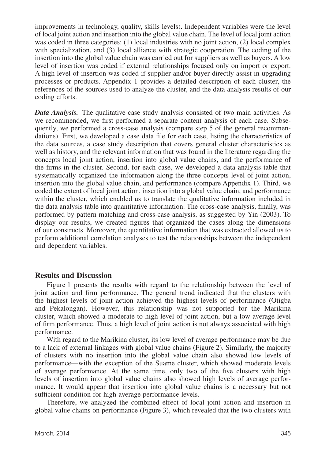improvements in technology, quality, skills levels). Independent variables were the level of local joint action and insertion into the global value chain. The level of local joint action was coded in three categories: (1) local industries with no joint action, (2) local complex with specialization, and (3) local alliance with strategic cooperation. The coding of the insertion into the global value chain was carried out for suppliers as well as buyers. A low level of insertion was coded if external relationships focused only on import or export. A high level of insertion was coded if supplier and/or buyer directly assist in upgrading processes or products. Appendix 1 provides a detailed description of each cluster, the references of the sources used to analyze the cluster, and the data analysis results of our coding efforts.

*Data Analysis.* The qualitative case study analysis consisted of two main activities. As we recommended, we first performed a separate content analysis of each case. Subsequently, we performed a cross-case analysis (compare step 5 of the general recommendations). First, we developed a case data file for each case, listing the characteristics of the data sources, a case study description that covers general cluster characteristics as well as history, and the relevant information that was found in the literature regarding the concepts local joint action, insertion into global value chains, and the performance of the firms in the cluster. Second, for each case, we developed a data analysis table that systematically organized the information along the three concepts level of joint action, insertion into the global value chain, and performance (compare Appendix 1). Third, we coded the extent of local joint action, insertion into a global value chain, and performance within the cluster, which enabled us to translate the qualitative information included in the data analysis table into quantitative information. The cross-case analysis, finally, was performed by pattern matching and cross-case analysis, as suggested by Yin (2003). To display our results, we created figures that organized the cases along the dimensions of our constructs. Moreover, the quantitative information that was extracted allowed us to perform additional correlation analyses to test the relationships between the independent and dependent variables.

#### **Results and Discussion**

Figure 1 presents the results with regard to the relationship between the level of joint action and firm performance. The general trend indicated that the clusters with the highest levels of joint action achieved the highest levels of performance (Otigba and Pekalongan). However, this relationship was not supported for the Marikina cluster, which showed a moderate to high level of joint action, but a low-average level of firm performance. Thus, a high level of joint action is not always associated with high performance.

With regard to the Marikina cluster, its low level of average performance may be due to a lack of external linkages with global value chains (Figure 2). Similarly, the majority of clusters with no insertion into the global value chain also showed low levels of performance—with the exception of the Suame cluster, which showed moderate levels of average performance. At the same time, only two of the five clusters with high levels of insertion into global value chains also showed high levels of average performance. It would appear that insertion into global value chains is a necessary but not sufficient condition for high-average performance levels.

Therefore, we analyzed the combined effect of local joint action and insertion in global value chains on performance (Figure 3), which revealed that the two clusters with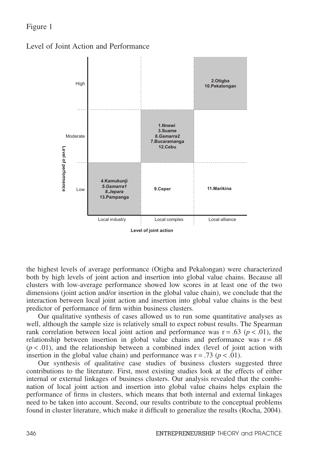# Figure 1





the highest levels of average performance (Otigba and Pekalongan) were characterized both by high levels of joint action and insertion into global value chains. Because all clusters with low-average performance showed low scores in at least one of the two dimensions (joint action and/or insertion in the global value chain), we conclude that the interaction between local joint action and insertion into global value chains is the best predictor of performance of firm within business clusters.

Our qualitative synthesis of cases allowed us to run some quantitative analyses as well, although the sample size is relatively small to expect robust results. The Spearman rank correlation between local joint action and performance was  $r = .63$  ( $p < .01$ ), the relationship between insertion in global value chains and performance was  $r = .68$  $(p < .01)$ , and the relationship between a combined index (level of joint action with insertion in the global value chain) and performance was  $r = .73$  ( $p < .01$ ).

Our synthesis of qualitative case studies of business clusters suggested three contributions to the literature. First, most existing studies look at the effects of either internal or external linkages of business clusters. Our analysis revealed that the combination of local joint action and insertion into global value chains helps explain the performance of firms in clusters, which means that both internal and external linkages need to be taken into account. Second, our results contribute to the conceptual problems found in cluster literature, which make it difficult to generalize the results (Rocha, 2004).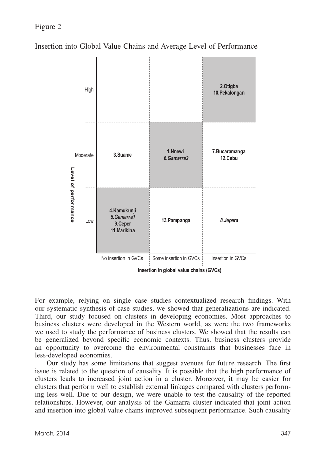Insertion into Global Value Chains and Average Level of Performance



For example, relying on single case studies contextualized research findings. With our systematic synthesis of case studies, we showed that generalizations are indicated. Third, our study focused on clusters in developing economies. Most approaches to business clusters were developed in the Western world, as were the two frameworks we used to study the performance of business clusters. We showed that the results can be generalized beyond specific economic contexts. Thus, business clusters provide an opportunity to overcome the environmental constraints that businesses face in less-developed economies.

Our study has some limitations that suggest avenues for future research. The first issue is related to the question of causality. It is possible that the high performance of clusters leads to increased joint action in a cluster. Moreover, it may be easier for clusters that perform well to establish external linkages compared with clusters performing less well. Due to our design, we were unable to test the causality of the reported relationships. However, our analysis of the Gamarra cluster indicated that joint action and insertion into global value chains improved subsequent performance. Such causality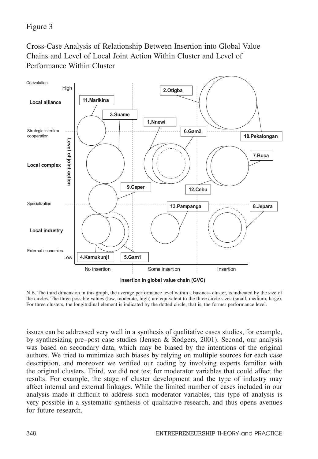Cross-Case Analysis of Relationship Between Insertion into Global Value Chains and Level of Local Joint Action Within Cluster and Level of Performance Within Cluster



N.B. The third dimension in this graph, the average performance level within a business cluster, is indicated by the size of the circles. The three possible values (low, moderate, high) are equivalent to the three circle sizes (small, medium, large). For three clusters, the longitudinal element is indicated by the dotted circle, that is, the former performance level.

issues can be addressed very well in a synthesis of qualitative cases studies, for example, by synthesizing pre–post case studies (Jensen & Rodgers, 2001). Second, our analysis was based on secondary data, which may be biased by the intentions of the original authors. We tried to minimize such biases by relying on multiple sources for each case description, and moreover we verified our coding by involving experts familiar with the original clusters. Third, we did not test for moderator variables that could affect the results. For example, the stage of cluster development and the type of industry may affect internal and external linkages. While the limited number of cases included in our analysis made it difficult to address such moderator variables, this type of analysis is very possible in a systematic synthesis of qualitative research, and thus opens avenues for future research.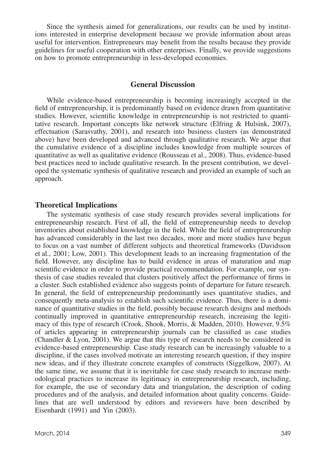Since the synthesis aimed for generalizations, our results can be used by institutions interested in enterprise development because we provide information about areas useful for intervention. Entrepreneurs may benefit from the results because they provide guidelines for useful cooperation with other enterprises. Finally, we provide suggestions on how to promote entrepreneurship in less-developed economies.

# **General Discussion**

While evidence-based entrepreneurship is becoming increasingly accepted in the field of entrepreneurship, it is predominantly based on evidence drawn from quantitative studies. However, scientific knowledge in entrepreneurship is not restricted to quantitative research. Important concepts like network structure (Elfring & Hulsink, 2007), effectuation (Sarasvathy, 2001), and research into business clusters (as demonstrated above) have been developed and advanced through qualitative research. We argue that the cumulative evidence of a discipline includes knowledge from multiple sources of quantitative as well as qualitative evidence (Rousseau et al., 2008). Thus, evidence-based best practices need to include qualitative research. In the present contribution, we developed the systematic synthesis of qualitative research and provided an example of such an approach.

#### **Theoretical Implications**

The systematic synthesis of case study research provides several implications for entrepreneurship research. First of all, the field of entrepreneurship needs to develop inventories about established knowledge in the field. While the field of entrepreneurship has advanced considerably in the last two decades, more and more studies have begun to focus on a vast number of different subjects and theoretical frameworks (Davidsson et al., 2001; Low, 2001). This development leads to an increasing fragmentation of the field. However, any discipline has to build evidence in areas of maturation and map scientific evidence in order to provide practical recommendation. For example, our synthesis of case studies revealed that clusters positively affect the performance of firms in a cluster. Such established evidence also suggests points of departure for future research. In general, the field of entrepreneurship predominantly uses quantitative studies, and consequently meta-analysis to establish such scientific evidence. Thus, there is a dominance of quantitative studies in the field, possibly because research designs and methods continually improved in quantitative entrepreneurship research, increasing the legitimacy of this type of research (Crook, Shook, Morris, & Madden, 2010). However, 9.5% of articles appearing in entrepreneurship journals can be classified as case studies (Chandler & Lyon, 2001). We argue that this type of research needs to be considered in evidence-based entrepreneurship. Case study research can be increasingly valuable to a discipline, if the cases involved motivate an interesting research question, if they inspire new ideas, and if they illustrate concrete examples of constructs (Siggelkow, 2007). At the same time, we assume that it is inevitable for case study research to increase methodological practices to increase its legitimacy in entrepreneurship research, including, for example, the use of secondary data and triangulation, the description of coding procedures and of the analysis, and detailed information about quality concerns. Guidelines that are well understood by editors and reviewers have been described by Eisenhardt (1991) and Yin (2003).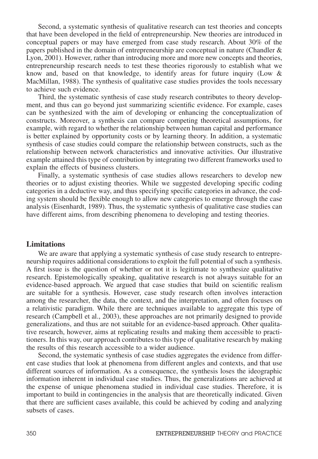Second, a systematic synthesis of qualitative research can test theories and concepts that have been developed in the field of entrepreneurship. New theories are introduced in conceptual papers or may have emerged from case study research. About 30% of the papers published in the domain of entrepreneurship are conceptual in nature (Chandler & Lyon, 2001). However, rather than introducing more and more new concepts and theories, entrepreneurship research needs to test these theories rigorously to establish what we know and, based on that knowledge, to identify areas for future inquiry (Low & MacMillan, 1988). The synthesis of qualitative case studies provides the tools necessary to achieve such evidence.

Third, the systematic synthesis of case study research contributes to theory development, and thus can go beyond just summarizing scientific evidence. For example, cases can be synthesized with the aim of developing or enhancing the conceptualization of constructs. Moreover, a synthesis can compare competing theoretical assumptions, for example, with regard to whether the relationship between human capital and performance is better explained by opportunity costs or by learning theory. In addition, a systematic synthesis of case studies could compare the relationship between constructs, such as the relationship between network characteristics and innovative activities. Our illustrative example attained this type of contribution by integrating two different frameworks used to explain the effects of business clusters.

Finally, a systematic synthesis of case studies allows researchers to develop new theories or to adjust existing theories. While we suggested developing specific coding categories in a deductive way, and thus specifying specific categories in advance, the coding system should be flexible enough to allow new categories to emerge through the case analysis (Eisenhardt, 1989). Thus, the systematic synthesis of qualitative case studies can have different aims, from describing phenomena to developing and testing theories.

#### **Limitations**

We are aware that applying a systematic synthesis of case study research to entrepreneurship requires additional considerations to exploit the full potential of such a synthesis. A first issue is the question of whether or not it is legitimate to synthesize qualitative research. Epistemologically speaking, qualitative research is not always suitable for an evidence-based approach. We argued that case studies that build on scientific realism are suitable for a synthesis. However, case study research often involves interaction among the researcher, the data, the context, and the interpretation, and often focuses on a relativistic paradigm. While there are techniques available to aggregate this type of research (Campbell et al., 2003), these approaches are not primarily designed to provide generalizations, and thus are not suitable for an evidence-based approach. Other qualitative research, however, aims at replicating results and making them accessible to practitioners. In this way, our approach contributes to this type of qualitative research by making the results of this research accessible to a wider audience.

Second, the systematic synthesis of case studies aggregates the evidence from different case studies that look at phenomena from different angles and contexts, and that use different sources of information. As a consequence, the synthesis loses the ideographic information inherent in individual case studies. Thus, the generalizations are achieved at the expense of unique phenomena studied in individual case studies. Therefore, it is important to build in contingencies in the analysis that are theoretically indicated. Given that there are sufficient cases available, this could be achieved by coding and analyzing subsets of cases.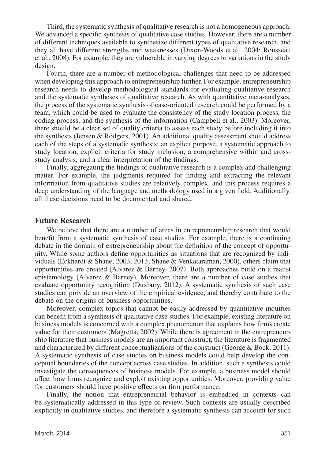Third, the systematic synthesis of qualitative research is not a homogeneous approach. We advanced a specific synthesis of qualitative case studies. However, there are a number of different techniques available to synthesize different types of qualitative research, and they all have different strengths and weaknesses (Dixon-Woods et al., 2004; Rousseau et al., 2008). For example, they are vulnerable in varying degrees to variations in the study design.

Fourth, there are a number of methodological challenges that need to be addressed when developing this approach to entrepreneurship further. For example, entrepreneurship research needs to develop methodological standards for evaluating qualitative research and the systematic syntheses of qualitative research. As with quantitative meta-analyses, the process of the systematic synthesis of case-oriented research could be performed by a team, which could be used to evaluate the consistency of the study location process, the coding process, and the synthesis of the information (Campbell et al., 2003). Moreover, there should be a clear set of quality criteria to assess each study before including it into the synthesis (Jensen & Rodgers, 2001). An additional quality assessment should address each of the steps of a systematic synthesis: an explicit purpose, a systematic approach to study location, explicit criteria for study inclusion, a comprehensive within and crossstudy analysis, and a clear interpretation of the findings.

Finally, aggregating the findings of qualitative research is a complex and challenging matter. For example, the judgments required for finding and extracting the relevant information from qualitative studies are relatively complex, and this process requires a deep understanding of the language and methodology used in a given field. Additionally, all these decisions need to be documented and shared.

#### **Future Research**

We believe that there are a number of areas in entrepreneurship research that would benefit from a systematic synthesis of case studies. For example, there is a continuing debate in the domain of entrepreneurship about the definition of the concept of opportunity. While some authors define opportunities as situations that are recognized by individuals (Eckhardt & Shane, 2003, 2013; Shane & Venkataraman, 2000), others claim that opportunities are created (Alvarez & Barney, 2007). Both approaches build on a realist epistemology (Alvarez & Barney). Moreover, there are a number of case studies that evaluate opportunity recognition (Duxbury, 2012). A systematic synthesis of such case studies can provide an overview of the empirical evidence, and thereby contribute to the debate on the origins of business opportunities.

Moreover, complex topics that cannot be easily addressed by quantitative inquiries can benefit from a synthesis of qualitative case studies. For example, existing literature on business models is concerned with a complex phenomenon that explains how firms create value for their customers (Magretta, 2002). While there is agreement in the entrepreneurship literature that business models are an important construct, the literature is fragmented and characterized by different conceptualizations of the construct (George & Bock, 2011). A systematic synthesis of case studies on business models could help develop the conceptual boundaries of the concept across case studies. In addition, such a synthesis could investigate the consequences of business models. For example, a business model should affect how firms recognize and exploit existing opportunities. Moreover, providing value for customers should have positive effects on firm performance.

Finally, the notion that entrepreneurial behavior is embedded in contexts can be systematically addressed in this type of review. Such contexts are usually described explicitly in qualitative studies, and therefore a systematic synthesis can account for such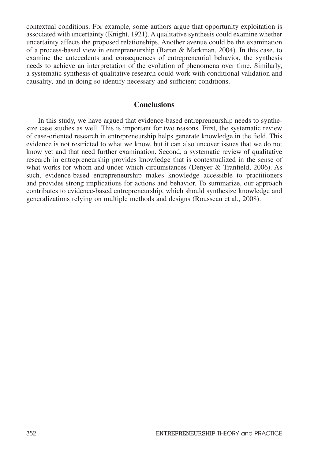contextual conditions. For example, some authors argue that opportunity exploitation is associated with uncertainty (Knight, 1921). A qualitative synthesis could examine whether uncertainty affects the proposed relationships. Another avenue could be the examination of a process-based view in entrepreneurship (Baron & Markman, 2004). In this case, to examine the antecedents and consequences of entrepreneurial behavior, the synthesis needs to achieve an interpretation of the evolution of phenomena over time. Similarly, a systematic synthesis of qualitative research could work with conditional validation and causality, and in doing so identify necessary and sufficient conditions.

#### **Conclusions**

In this study, we have argued that evidence-based entrepreneurship needs to synthesize case studies as well. This is important for two reasons. First, the systematic review of case-oriented research in entrepreneurship helps generate knowledge in the field. This evidence is not restricted to what we know, but it can also uncover issues that we do not know yet and that need further examination. Second, a systematic review of qualitative research in entrepreneurship provides knowledge that is contextualized in the sense of what works for whom and under which circumstances (Denyer & Tranfield, 2006). As such, evidence-based entrepreneurship makes knowledge accessible to practitioners and provides strong implications for actions and behavior. To summarize, our approach contributes to evidence-based entrepreneurship, which should synthesize knowledge and generalizations relying on multiple methods and designs (Rousseau et al., 2008).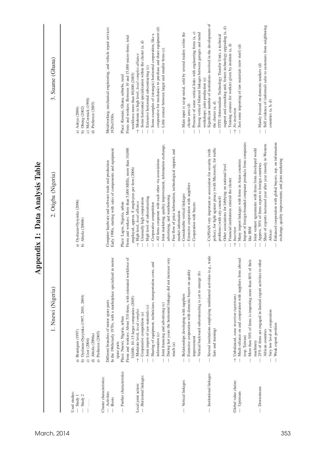|                                                                                          |                                                                                                                                                                                                                                            | Appendix 1: Data Analysis Table                                                                                                                                                                                                                                                                          |                                                                                                                                                                                                                                                                                                                       |
|------------------------------------------------------------------------------------------|--------------------------------------------------------------------------------------------------------------------------------------------------------------------------------------------------------------------------------------------|----------------------------------------------------------------------------------------------------------------------------------------------------------------------------------------------------------------------------------------------------------------------------------------------------------|-----------------------------------------------------------------------------------------------------------------------------------------------------------------------------------------------------------------------------------------------------------------------------------------------------------------------|
|                                                                                          | 1. Nnewi (Nigeria)                                                                                                                                                                                                                         | 2. Otigba (Nigeria)                                                                                                                                                                                                                                                                                      | 3. Suame (Ghana)                                                                                                                                                                                                                                                                                                      |
| Cluster characteristics:<br>Used studies:<br>$-$ Study 1<br>$-$ Study 2<br>$\frac{1}{1}$ | b) Oyelaran-Oyeyinka (1997, 2001, 2004)<br>a) Brautigam (1997)<br>e) ProInvest (2005)<br>d) Abiola (2006a)<br>c) Uzor (2004)                                                                                                               | a) Oyelaran-Oyeyinka (2006)<br>b) Abiola (2006b)                                                                                                                                                                                                                                                         | c) McCormick (1998)<br>d) ProInvest (2005)<br>b) Obeng (2002)<br>a) Adeya (2006)                                                                                                                                                                                                                                      |
| $-$ Activities<br>- Roots                                                                | marketplace specialized in motor<br>Different branches of motor spare parts<br>In the 1960s/early 1970s, with a<br>spare parts                                                                                                             | Early 1990s, starting with sales of components and equipment<br>Computer hardware and software trade and production                                                                                                                                                                                      | Metalworking, mechanical engineering, and vehicle repair services<br>1920s/1930s                                                                                                                                                                                                                                      |
| - Further characteristics<br>- Horizontal linkages<br>Local joint action:                | Firms and workers: About 510 firms, with estimated workforce of<br>10,000; 10-15 larger companies (2005)<br>$\rightarrow$ Moderate level, local complex<br>- Cooperative competition (a)<br>Place: Nnewi, Nigeria, urban                   | Firms and workers: More than 5,000 MSEs, more than 10,000<br>employed, approx. 8 employees per firm (2006)<br>- Unusually high cooperation<br>$\rightarrow$ High level, local alliance<br>Place: Lagos, Nigeria, urban                                                                                   | Firms and workers: Between 10 and 15,000 micro-firms; total<br>$-$ Some horizontal specialization within the cluster $(a, d)$<br>$\rightarrow$ Moderate to high level, local complex-alliance<br>workforce more than 80,000 (2005)<br>Place: Kumasi, Ghana, suburbs, rural                                            |
|                                                                                          | During last years the horizontal linkages did not increase very<br>Sharing of equipment, technicians, transportation costs, and<br>Joint financing and advertising (c)<br>Joint import of raw materials (c)<br>information (c)<br>much (a) | Joint marketing, quality improvement, information exchange,<br>Free flow of price information, technological support, and<br>All firms cooperate with each other via associations<br>advertising, and warehousing<br>High level of subcontracting<br>Cooperative competition<br>$\overline{\phantom{a}}$ | cooperative for mechanics to purchase and share equipment (d)<br>Some examples of (strategic) horizontal cooperation, like a<br>Little contact between larger and smaller firms (c)<br>Extensive horizontal subcontracting (c)<br>$\overline{\phantom{a}}$                                                            |
| - Vertical linkages                                                                      | Extensive cooperation with domestic buyers on quality<br>Vertical backward subcontracting is yet to emerge (b)<br>Relationships developing with suppliers<br>improvement<br>$\overline{\phantom{a}}$<br>$\overline{\phantom{a}}$           | Extensive cooperation with suppliers<br>Considerable vertical linkages<br>Cooperation with buyers<br>market information<br>$\overline{\phantom{a}}$                                                                                                                                                      | Presence of some vertical links with engineering firms (a, c)<br>Strong vertical bilateral linkages between garages and metal<br>Main input is scrap metal, sold by several traders within the<br>cluster area (d)<br>I                                                                                               |
| - Institutional linkages                                                                 | Several institutions employing multilateral activities (e.g., trade<br>fairs and training)<br>$\overline{\phantom{a}}$                                                                                                                     | police), for fight against piracy (with Microsoft), for traffic<br>CAPDAN very important as association for security (with<br>Other associations for lobbying on national level<br>Financial institutions entered the cluster<br>problems (with city council)                                            | Significant number of institutions involved in the development of<br>support and consulting unit, fosters technology upgrading (a, d)<br>ITTU (Intermediate Technology Transfer Unit), a technical<br>Training courses for workers given by institute (a, d)<br>workshops: joint production (c)<br>the cluster (a, d) |
| Global value chains:<br>$-$ Upstream                                                     | Much reliance on and cooperation with suppliers from abroad<br>More than 50% of firms is importing more than 80% of their<br>$\rightarrow$ Unbalanced, some insertion (upstream)<br>(esp. Taiwan)<br>machinery                             | Import of foreign-branded computer products from companies<br>Joint venture agreements with firms from developed world<br>Many import linkages with firms in Asian countries<br>Insertion<br>like IBM<br>$\uparrow$<br>$\overline{\phantom{a}}$                                                          | Just some importing of raw materials (new steel) (d)<br>$\rightarrow$ No insertion<br>$\overline{\phantom{a}}$                                                                                                                                                                                                        |
| - Downstream                                                                             | 25% of firms are engaged in limited export activities to other<br>Very low level of cooperation<br>Weak export position<br>African countries<br>$\bigg $<br>$\begin{array}{c} \hline \end{array}$                                          | Enhanced cooperation with global buyers, esp. on information<br>Share of exports increased year after year (mostly to Western<br>exchange, quality improvement, and joint marketing<br>Approx. 50% of firms export to foreign countries<br>Africa)                                                       | Still evidence of (informal) sales to customers from neighboring<br>Mainly focused on domestic markets (d)<br>countries (a, b, d)<br>$\overline{\phantom{a}}$<br>I                                                                                                                                                    |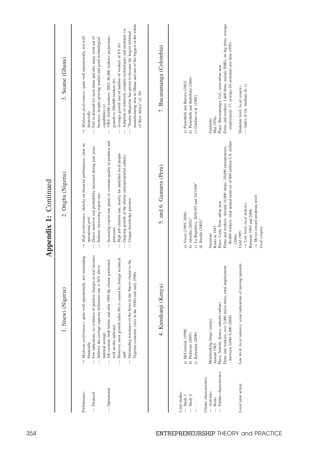|                                                                                                                                                                         |                                                                                                                                                                                                                                                                                                                                                                                                                                                                                                                                                                                                                                                                                                                       | Appendix 1: Continued                                                                                                                                                                                                                                                                                                                                                                                                                                                                                                                                     |                                                                                                                                                                                                                                                                                                                                                                                                                                                                                                                                                                                                                                |
|-------------------------------------------------------------------------------------------------------------------------------------------------------------------------|-----------------------------------------------------------------------------------------------------------------------------------------------------------------------------------------------------------------------------------------------------------------------------------------------------------------------------------------------------------------------------------------------------------------------------------------------------------------------------------------------------------------------------------------------------------------------------------------------------------------------------------------------------------------------------------------------------------------------|-----------------------------------------------------------------------------------------------------------------------------------------------------------------------------------------------------------------------------------------------------------------------------------------------------------------------------------------------------------------------------------------------------------------------------------------------------------------------------------------------------------------------------------------------------------|--------------------------------------------------------------------------------------------------------------------------------------------------------------------------------------------------------------------------------------------------------------------------------------------------------------------------------------------------------------------------------------------------------------------------------------------------------------------------------------------------------------------------------------------------------------------------------------------------------------------------------|
|                                                                                                                                                                         | 1. Nnewi (Nigeria)                                                                                                                                                                                                                                                                                                                                                                                                                                                                                                                                                                                                                                                                                                    | 2. Otigba (Nigeria)                                                                                                                                                                                                                                                                                                                                                                                                                                                                                                                                       | 3. Suame (Ghana)                                                                                                                                                                                                                                                                                                                                                                                                                                                                                                                                                                                                               |
| - Operational<br>Performance:<br>- Financial                                                                                                                            | $\rightarrow$ Moderate performance: quite well operationally, not outstanding<br>of positive changes in real incomes<br>96) is caused by foreign technical<br>Job creation: both before and after 1996 the cluster performed<br>Outstanding resistance of the firms in the Nnewi cluster to the<br>- Indirect: the average capacity utilization rate is 20% above<br>Nigerian economic crisis in the 1980s and early 1990s<br>Few indications, no evidence<br>However, most growth (after<br>well on this indicator<br>national average<br>financially<br>$_{\mbox{staff}}$<br>$\begin{array}{c} \hline \end{array}$<br>$\overline{\phantom{a}}$<br>$\overline{\phantom{a}}$<br>$\begin{array}{c} \hline \end{array}$ | - Increasing export rate points to constant quality in products and<br>$\rightarrow$ High performance: sketchy on financial performance, clear on<br>Direct: turnover and profitability increased during past years<br>High job creation rate, mostly for unskilled local people<br>Ongoing growth of the cluster (entrepreneurial culture)<br>Indirect: increasing export rate<br>Unique knowledge presence<br>operational perf.<br>processes<br>$\overline{\phantom{a}}$<br>$\overline{\phantom{a}}$<br>$\overline{1}$<br>I<br>$\overline{\phantom{a}}$ | manufacturing area in Ghana and one of the biggest in the whole<br>Adoption of relatively complex technologies and machines (a)<br>"Suame Magazine has grown to become the largest informal<br>1984: 40,000 workers; 2002: 80,000 workers; projections:<br>Fall in demand for most firms and also many went out of<br>$\rightarrow$ Moderate performance: quite well operationally, not well<br>business, despite growing market and good technological<br>Average growth rate of number of workers of 8% (b)<br>growth to 100,000 workers (b)<br>of West Africa" (d: 39)<br>capabilities (c)<br>financially<br>$\overline{1}$ |
|                                                                                                                                                                         | 4. Kamikunji (Kenya)                                                                                                                                                                                                                                                                                                                                                                                                                                                                                                                                                                                                                                                                                                  | 5. and 6. Gamarra (Peru)                                                                                                                                                                                                                                                                                                                                                                                                                                                                                                                                  | 7. Bucaramanga (Colombia)                                                                                                                                                                                                                                                                                                                                                                                                                                                                                                                                                                                                      |
| - Further characteristics<br>Cluster characteristics:<br>Local joint action:<br>- Activities<br>Used studies:<br>$-$ Study 1<br>$-$ Study 2<br>- Roots<br>$\frac{1}{1}$ | Low level, local industry: some indications of moving upwards<br>Firms and workers: over 2,000 micro-firms, total employment<br>Place: Nairobi, Kenya, suburbs (urban)<br>between 3,000-5,000 (2005)<br>Metalworking (large variety)<br>a) McCormick (1998)<br>c) Kinyanjui (2006)<br>b) ProInvest (2005)<br>Around 1985                                                                                                                                                                                                                                                                                                                                                                                              | 90,000 workers; total annual turnover of 800 million U.S. dollars<br>Firms and workers: Around 14,000 shops; 20,000 entrepreneurs;<br>c) La Republica, 26/01/05 and 26/11/06 <sup>†</sup><br>$\rightarrow$ Moves toward moderate level:<br>Place: Lima, Peru, urban area<br>$\rightarrow$ Low level, local industry<br>Between 1995 and 2006:<br>a) Visser (1999, 2000)<br>b) Alosilla (2002) <sup>†</sup><br>d) Bezdin (2005) <sup>†</sup><br>Roots in 1945<br>local complex<br>Until 1995:<br>Garments<br>(2004)                                        | Firms and workers: 1,600 firms, mainly SMEs, no big firms, average<br>employment: 37, average 20 customers per firm (1995)<br>Place: Bucaramanga, Col., semi-urban area<br>b) Pietrobelli and Rabellotti (2004)<br>a) Pietrobelli and Barrera (2002)<br>$-$ Index of JA: medium (b, c)<br>Moderate level, local complex<br>c) Giuliani et al. (2005)<br>Mid 1970s<br>Garments                                                                                                                                                                                                                                                  |

#### 354 ENTREPRENEURSHIP THEORY and PRACTICE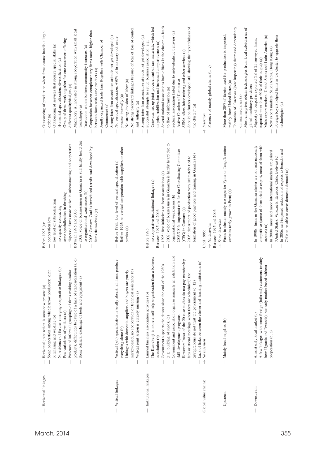- Some cooperation among wheelbarrow producers: joint — Some cooperation among wheelbarrow producers: joint - Horizontal joint action is somehow present (a) — Horizontal linkages — Horizontal joint action is somehow present (a) - Horizontal linkages
- No evidence of further emerging cooperative linkages (b) — No evidence of further emerging cooperative linkages (b) purchasing and welding (b) purchasing and welding (b)
	- Few variations of products (c) — Few variations of products (c)
- products, difficulties because of a lack of standardization (a, c) products, difficulties because of a lack of standardization (a, c) - Presence of informal groupings of firms making similar — Presence of informal groupings of firms making similar
	- Some bilateral exchange of tools and equipment (a) — Some bilateral exchange of tools and equipment (a)
- Vertical (job) specialization is totally absent, all firms produce - Vertical linkages
	- everything alone (b) everything alone (b)
		- market-based, no cooperation or technical assistance (b) market-based, no cooperation or technical assistance (b)
			- Vertical joint action is entirely missing (a) — Vertical joint action is entirely missing (a)
- Limited business association activities (b) — Institutional linkages — Limited business association activities (b) - Institutional linkages
- The Kamukunji is more a self-help organization than a business — The Kamukunji is more a self-help organization than a business association (b) association (b)
- Government supports the cluster since the end of the 1980s — Government supports the cluster since the end of the 1980s  $(e.g., building ofsheds)$  $(c)$
- Government and association organize annually an exhibition and — Government and association organize annually an exhibition and
- However: "most of the 20 case studies do not pay membership — However: "most of the 20 case studies do not pay membership fees or attend meetings when they are scheduled," the fees or attend meetings when they are scheduled," the
- Global value chains: → *No insertion* Until 1995: Lack of links between the cluster and learning institutions (c) — Lack of links between the cluster and learning institutions (c)  $\rightarrow$  No insertion  $\overline{1}$
- 
- Upstream Mainly local supplies (b) Firms in cluster mainly use superior Pyma or Tanguïs cotton - Mainly local supplies (b)  $-$  Upstream
- 
- $-$  A few linkages with some foreign (informal) customers (mainly — A few linkages with some foreign (informal) customers (mainly from Uganda and Rwanda), but only market-based without from Uganda and Rwanda), but only market-based without
- Before 1995 (a): Before 1995 (a):
- cooperation low — cooperation low
- low level of subcontracting — low level of subcontracting
- no capacity contracting — no capacity contracting
- 
- some specialization in finishing — some specialization in finishing
- dispersed firms more active in subcontracting and cooperation — dispersed firms more active in subcontracting and cooperation Between 1995 and 2006: Between 1995 and 2006:
- 2002: voice of businessmen in Gamarra is still hardly heard due — 2002: voice of businessmen in Gamarra is still hardly heard due to organizational weaknesses (b) to organizational weaknesses (b)
	- 2005: Gamarra Card is introduced (credit card developed by — 2005: Gamarra Card is introduced (credit card developed by firms themselves) (c) firms themselves) (c)
- Before 1995: low level of vertical specialization (a) — Before 1995: low level of vertical specialization (a)
- Before 1995: no vertical cooperation with suppliers or other — Before 1995: no vertical cooperation with suppliers or other parties (a)
- Before 1995: Before 1995:
- 
- no cooperative institutional linkages (a) — no cooperative institutional linkages (a)
	- Between 1995 and 2006: Between 1995 and 2006:
- 1995: five initiatives to form associations (a) — 1995: five initiatives to form associations (a)
- 2002: voice of businessmen in Gamarra is hardly heard due to
- 2002: voice of businessmen in Gamarra is hardly heard due to organizational weaknesses (b) organizational weaknesses (b)
	- 2005/2006: important role for the Coordinating Committee — 2005/2006: important role for the Coordinating Committee (CEG) in Gamarra (c) (CEG) in Gamarra (c)
		- formation of good practices and training in Gamarra (d) formation of good practices and training in Gamarra (d) - 2005: department of production very intimately tied to — 2005: department of production very intimately tied to
- Until 1995:
	- $\rightarrow$  No insertion *No insertion*
- Between 1995 and 2006: Between 1995 and 2006:
	- → Some insertion *Some insertion*
- Firms in cluster mainly use superior Pyma or Tanguïs cotton varieties (only grown in Peru) (a) varieties (only grown in Peru) (a)
- competitive (some of them tried to export, none of them with competitive (some of them tried to export, none of them with - In 1990s: firms in the Gamarra cluster are not internationally — In 1990s: firms in the Gamarra cluster are not internationally  $success)$  (a) success) (a)
	- $-$  In 2000s: more and more international markets are gained — In 2000s: more and more international markets are gained (United States, Venezuela, Ecuador, Chile, Bolivia) (c) (United States, Venezuela, Ecuador, Chile, Bolivia) (c)
- In 2006: self-imposed reduction of exports to Ecuador and — In 2006: self-imposed reduction of exports to Ecuador and Chile to be able to cover domestic demand (c) Chile to be able to cover domestic demand (c)  $\overline{\phantom{a}}$
- Outsourcing of production when firms cannot handle a large — Outsourcing of production when firms cannot handle a large order (a)
- Outsourcing of services that require special skills (a) — Outsourcing of services that require special skills (a)
- Group of firms work together for one customer, offering — Group of firms work together for one customer, offering - Horizontal specialization: diversification (a) — Horizontal specialization: diversification (a)
- Machinery is innovated in strong cooperation with small local — Machinery is innovated in strong cooperation with small local different quality/designs (a) different quality/designs (a) workshops (a)
	- Interaction within business community increases (a) — Interaction within business community increases (a) workshops (a)
- Cooperation between complementary firms much higher than — Cooperation between complementary firms much higher than between firms with same products (a) between firms with same products (a)
- Jointly organized trade fairs (together with Chamber of — Jointly organized trade fairs (together with Chamber of Commerce) (a) Commerce) (a)
- Strong inter-firm associative attitude not yet developed (a) — Strong inter-firm associative attitude not yet developed (a) No vertical specialization: +80% of firms carry out entire  $\overline{\phantom{a}}$ 
	- No vertical specialization: +80% of firms carry out entire process internally (a) process internally (a)
		- No strong division of labor (a) — No strong division of labor (a)

ï

- No strong backward linkages because of fear of loss of control — No strong backward linkages because of fear of loss of control and authority (a) and authority (a)
- Strong inter-firm associative attitude not yet developed (a) — Strong inter-firm associative attitude not yet developed (a) - Successful attempts to set up business association: e.g., — Successful attempts to set up business association: e.g.,
- Cotexcon, set up joint procurement of raw materials, which led *Cotexcon*, set up joint procurement of raw materials, which led to price stabilization and increased competitiveness (a) to price stabilization and increased competitiveness (a)
- Several national associations have offices in the cluster  $\rightarrow$  leads  $\sim$  Several national associations have offices in the cluster  $\rightarrow$  leads to flow of information (a) to flow of information (a)  $\overline{1}$
- Sectoral association failed due to individualistic behavior (a) — Sectoral association failed due to individualistic behavior (a) - Active Chamber of Commerce
	- SENA offers labor training and other services (a) — SENA offers labor training and other services (a) — Active Chamber of Commerce
- Should be further developed, still showing the "youthfulness of — Should be further developed, still showing the "youthfulness of the cluster" (a) ĩ
- $\rightarrow$  Insertion *Insertion*

the cluster" (a)

- Presence of mainly global chains (b, c) — Presence of mainly global chains (b, c)
- $-$  More than 80% of fabrics used for production is imported, — More than 80% of fabrics used for production is imported, mainly from United States (a) mainly from United States (a)
- Formation of Cotexcon (joint importing) decreased dependency — Formation of *Cotexcon* (joint importing) decreased dependency on intermediaries (a) on intermediaries (a)
	- Most enterprises obtain technologies from local subsidiaries of — Most enterprises obtain technologies from local subsidiaries of global machinery providers global machinery providers
		- Majority of output is exported (18 of 25 surveyed firms, — Majority of output is exported (18 of 25 surveyed firms, exported more than 60% of their output) (a) exported more than 60% of their output) (a)
			- Main export markets: United States and Latin America (a) — Main export markets: United States and Latin America (a)
- Foreign buyers helped firms in the cluster to upgrade their — Foreign buyers helped firms in the cluster to upgrade their New export markets: Saudi Arabia, Hong Kong (a) — New export markets: Saudi Arabia, Hong Kong (a) technologies (a) ï  $\overline{\phantom{a}}$

technologies (a)

- Vertical linkages Vertical (job) specialization is totally absent, all firms produce
	- Linkages with domestic suppliers and buyers are purely — Linkages with domestic suppliers and buyers are purely
- 
- 
- 
- - (e.g., building of sheds) (c)
- 
- - skill development programs skill development programs
		-
- entrepreneurs do not trust the government (c: 12) entrepreneurs do not trust the government (c: 12)
	- Global value chains:
		-
- - -
- 

 $\bigg|$ 

- 
- 
- Almost only local market (b) — Downstream — Almost only local market (b) Downstream
- 

cooperation (b, c)

cooperation (b, c)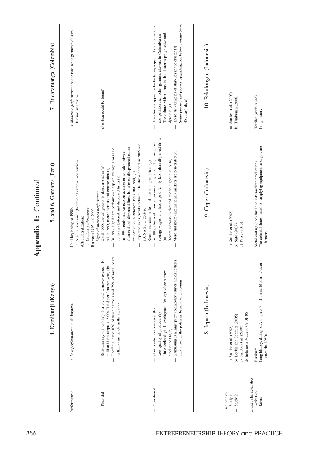|                                                                         |                                                                                                                                                                                                                                                                              | Appendix 1: Continued                                                                                                                                                                                                                                                                                                                                                                                                                                                                                     |                                                                                                                                                                                                                                                                                                                              |
|-------------------------------------------------------------------------|------------------------------------------------------------------------------------------------------------------------------------------------------------------------------------------------------------------------------------------------------------------------------|-----------------------------------------------------------------------------------------------------------------------------------------------------------------------------------------------------------------------------------------------------------------------------------------------------------------------------------------------------------------------------------------------------------------------------------------------------------------------------------------------------------|------------------------------------------------------------------------------------------------------------------------------------------------------------------------------------------------------------------------------------------------------------------------------------------------------------------------------|
|                                                                         | 4. Kamikunji (Kenya)                                                                                                                                                                                                                                                         | 5. and 6. Gamarra (Peru)                                                                                                                                                                                                                                                                                                                                                                                                                                                                                  | 7. Bucaramanga (Colombia)                                                                                                                                                                                                                                                                                                    |
| Performance:                                                            | $\rightarrow$ Low performance: could improve                                                                                                                                                                                                                                 | $\rightarrow$ High performance (because of external economies)<br>Until beginning of 1990s:<br>$\rightarrow$ Eroding performance<br>Between 1995 and 2006:<br>After liberalization:                                                                                                                                                                                                                                                                                                                       | $\rightarrow$ Moderate performance: better than other garments clusters<br>but not impressive                                                                                                                                                                                                                                |
| - Financial                                                             | Unofficial data: 80% of wheelbarrows and 75% of metal boxes<br>that the total turnover exceeds 10<br>million U.S.\$ (approx. 5,000 U.S.\$ per firm per year) (b)<br>in Kenya are made in the area $(\mathbf{c})$<br>Estimates say it is unlikely<br>$\overline{\phantom{a}}$ | In 1993, significant performance gap on average gross sales<br>clustered and dispersed firms has almost disappeared (sales<br>In 1994, performance gap on average gross sales between<br>Until 1990, annual growth in domestic sales (a)<br>After 1990, more international competition (a)<br>erosion of 27% between 1993 and 1994) (a)<br>between clustered and dispersed firms (a)<br>$\rightarrow$ Signs of increased performance<br>$\overline{\phantom{a}}$                                          | (No data could be found)                                                                                                                                                                                                                                                                                                     |
| $-$ Operational                                                         | Kamukunji is a large petty commodity cluster which realizes<br>Little technological development (except wheelbarrow<br>only a few of the potential benefits of clustering<br>Slow production processes (b)<br>- Low quality of products (b)<br>production) (a, b)            | average wages, and less unpaid family labor than dispersed firms<br>In 1993, clustered firms experienced higher employment growth,<br>Expected sales growth between Christmas period in 2005 and<br>- More and more (international) markets are penetrated (c)<br>Recent increase in demand due to higher quality (c)<br>Recent increase in demand due to higher prices (c)<br>2006 is 20 to 25% (c)<br>$\widehat{a}$<br>$\overline{\phantom{a}}$<br>$\overline{\phantom{a}}$<br>$\overline{\phantom{a}}$ | Some product and process upgrading, but below average (over<br>The clusters appear to be better equipped to face international<br>The culture within firms in the cluster is progressive and<br>competition than other garment clusters in Colombia (a)<br>There are examples of start-ups in the cluster (a)<br>dynamic (a) |
|                                                                         | (Indonesia)<br>8. Jepara                                                                                                                                                                                                                                                     | 9. Ceper (Indonesia)                                                                                                                                                                                                                                                                                                                                                                                                                                                                                      | 10. Pekalongan (Indonesia)<br>40 cases) (b, c)                                                                                                                                                                                                                                                                               |
| Cluster characteristics:<br>Used studies:<br>$-$ Study 1<br>$-$ Study 2 | d) Indonesia Matters, 09-01-06<br>b) Loebis and Schmitz (2005)<br>a) Sandee et al. $(2002)$<br>c) Sandee et al. (2000)                                                                                                                                                       | a) Sandee et al. (2002)<br>c) Perry (2005)<br>b) Sato (2005)                                                                                                                                                                                                                                                                                                                                                                                                                                              | a) Sandee et al. (2002)<br>b) Tambunan $(2006)$                                                                                                                                                                                                                                                                              |
| - Activities<br>$-$ Roots                                               | Long history, dating back to precolonial times. Modern cluster<br>since the 1980s<br>Furniture                                                                                                                                                                               | The colonial times, based on supplying equipment to sugarcane<br>Metal casting (both final and intermediate production)<br>farmers                                                                                                                                                                                                                                                                                                                                                                        | Textiles (wide range)<br>Long history                                                                                                                                                                                                                                                                                        |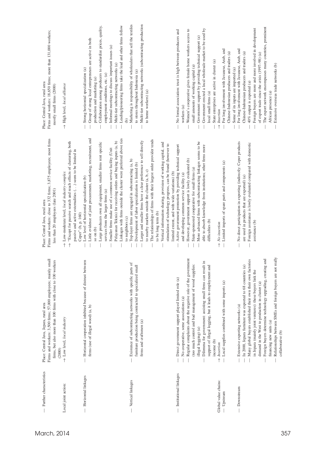| - Further characteristics            | Firms and workers: 3,500 firms; 57,000 employees; mainly small<br>firms, but also more than 100 firms with close to 100 workers<br>Place: Central Java, Jepara, rural area<br>(2000)                                                                                                                                                                                                                                                                                                                                                                                            | Firms and workers: close to 332 firms; 3,875 employees; most firms<br>less than 20 employees (late 2001)<br>Place: Central Java, rural area                                                                                                                                                                                                                                                                                                                                                                         | Firms and workers: 18,650 firms; more than 131,0<br>Place: Central Java, rural area<br>mostly small firms (2000)                                                                                                                                                                                                                                                                     |
|--------------------------------------|---------------------------------------------------------------------------------------------------------------------------------------------------------------------------------------------------------------------------------------------------------------------------------------------------------------------------------------------------------------------------------------------------------------------------------------------------------------------------------------------------------------------------------------------------------------------------------|---------------------------------------------------------------------------------------------------------------------------------------------------------------------------------------------------------------------------------------------------------------------------------------------------------------------------------------------------------------------------------------------------------------------------------------------------------------------------------------------------------------------|--------------------------------------------------------------------------------------------------------------------------------------------------------------------------------------------------------------------------------------------------------------------------------------------------------------------------------------------------------------------------------------|
| Local joint action:                  | → Low level, local industry                                                                                                                                                                                                                                                                                                                                                                                                                                                                                                                                                     | "Except for passive search and reach effects of clustering, both<br>passive and active externalities () seem to be limited in<br>→ Low-moderate level, local industry-complex<br>$\hat{\mathcal{L}}$                                                                                                                                                                                                                                                                                                                | $\rightarrow$ High level, local alliance                                                                                                                                                                                                                                                                                                                                             |
| - Horizontal linkages                | - Horizontal cooperation inhibited because of distrust between<br>firms (use of illegal wood) (a, b)                                                                                                                                                                                                                                                                                                                                                                                                                                                                            | Little evidence of joint procurement, marketing, recruitment, and<br>Linkages with firms outside the cluster were preferred above ties<br>Pelayanan Teknis) for receiving orders and buying inputs (a, b)<br>Large producers own all equipment, smaller firms rent specific<br>Smaller firms make use of a common service facility (Unit<br>Low level of horizontal specialization (b)<br>services from the larger firms (a)<br>Ceper" (b, p. 160)<br>to neighbors (c)<br>so on (b)                                 | Informal meetings to discuss important issues (<br>Group of strong local entrepreneurs are active<br>Leading/pioneering firms take the lead and oth<br>Collaboration among producers to standardize<br>Multi-tier subcontracting networks (a)<br>Strong horizontal specialization (a)<br>employment conditions, etc. (a)<br>production and marketing (a)                             |
| - Vertical linkages                  | Existence of subcontracting networks with specific parts of<br>production being contracted to specialized small<br>craftsmen (a)<br>furniture<br>firms and                                                                                                                                                                                                                                                                                                                                                                                                                      | The relationships of firms with their largest order provider tends<br>Larger and smaller firms have a clear preference to sell directly<br>Vertical information sharing, provision of working capital, and<br>stimulation of technology progress, can be found (however to<br>Top-layer firms are engaged in subcontracting (a, b)<br>Development of labor specialization is limited (b)<br>to nearby markets outside the cluster (a, b, c)<br>limited extent, and with wide variations) (b)<br>to be long term (b) | Multi-tier subcontracting networks (subcontrac<br>Marketing is responsibility of wholesalers that<br>to stores throughout Indonesia (a)<br>to home workers) (a)                                                                                                                                                                                                                      |
| - Institutional linkages             | Regular complaints about the negative role of the government<br>Dilemma for government: assisting small firms can result in<br>(too much control and bad management of wood supplies:<br>support of illegal logging, but it leads to employment and<br>- Direct government support played limited role (a)<br>No cooperative, some associations (a)<br>illegal logging) (a)<br>income (b)<br>$\overline{\phantom{a}}$<br>$\overline{\phantom{a}}$<br>$\overline{\phantom{a}}$                                                                                                   | More advanced firms with subcontracting linkages seems to be<br>Active government promotion by providing technical support<br>able to absorb knowledge from institutions; other firms more<br>However, government support is lowly evaluated (b)<br>State-sponsored cooperative for small firms (a)<br>and developing common service facility (a)<br>difficulties (b)                                                                                                                                               | No formal association: trust is high between pr<br>Women's cooperative gives female home work<br>Government support by providing technical sup<br>Government erected a local wholesale market t<br>State enterprises are active in cluster (a)<br>small amounts of working capital (a)<br>local small firms (a)<br>workers (a)<br>$\begin{array}{c} \hline \end{array}$              |
| Global value chains:<br>$-$ Upstream | - Local supplies combined with some imports (a)<br>Insertion<br>$\uparrow$                                                                                                                                                                                                                                                                                                                                                                                                                                                                                                      | Limited imports of spare parts and components (a)<br>No insertion<br>$\uparrow$<br>$\overline{\phantom{a}}$                                                                                                                                                                                                                                                                                                                                                                                                         | For long involvement with Javanese, Arab, and<br>Chinese-Indonesian producers and traders (a)<br>Insertion<br>$\uparrow$<br>$\overline{\phantom{a}}$                                                                                                                                                                                                                                 |
| - Downstream                         | Relationships between SMEs and foreign buyers are not really<br>Foreign buyers determine technology upgrading, creating and<br>Many global buyers established their own their own factories<br>In 2000, Jepara furniture was exported to 68 countries (a)<br>in Jepara (mainly joint ventures): these buyers link the<br>demand in the West to production in cluster (a)<br>Extensive exporting networks (a)<br>; new units (a)<br>collaborative (b)<br>financing<br>$\overline{\phantom{a}}$<br>$\begin{array}{c} \hline \end{array}$<br>$\begin{array}{c} \hline \end{array}$ | No direct participation in exporting (indirectly: Ceper products<br>Foreign assistance is lowly evaluated compared with domestic<br>are used in products that are exported) (a)<br>assistance (b)                                                                                                                                                                                                                                                                                                                   | For long involvement with Javanese, Arab, and<br>The export network encompasses many countri<br>Foreign buyers are more and more involved in<br>Chinese-Indonesian producers and traders (a)<br>of export trade since the crisis (1997-98) (a)<br>Extensive overseas trade networks (b)<br>Some of its inputs are imported (a)<br>40% output is exported (a)<br>African presence (a) |

- > Low-moderate level, local industry-complex
- → "Except for passive search and reach effects of clustering, both  $\rightarrow$  "Except for passive search and reach effects of clustering, both passive and active externalities (...) seem to be limited in passive and active externalities (. . .) seem to be limited in Ceper" (b, p. 160) Ceper" (b, p. 160)
- Little evidence of joint procurement, marketing, recruitment, and — Little evidence of joint procurement, marketing, recruitment, and - Low level of horizontal specialization (b) — Low level of horizontal specialization (b)
- Large producers own all equipment, smaller firms rent specific — Large producers own all equipment, smaller firms rent specific so on (b)
- Smaller firms make use of a common service facility (Unit — Smaller firms make use of a common service facility (Unit services from the larger firms (a) services from the larger firms (a) Ť
- Linkages with firms outside the cluster were preferred above ties Pelayanan Teknis) for receiving orders and buying inputs (a, b) — Linkages with firms outside the cluster were preferred above ties Pelayanan Teknis) for receiving orders and buying inputs (a, b)
	- Top-layer firms are engaged in subcontracting (a, b) — Top-layer firms are engaged in subcontracting (a, b) to neighbors (c) to neighbors (c)  $\begin{array}{c} \hline \end{array}$ 
		- Development of labor specialization is limited (b) — Development of labor specialization is limited (b)
- Larger and smaller firms have a clear preference to sell directly — Larger and smaller firms have a clear preference to sell directly to nearby markets outside the cluster (a, b, c) to nearby markets outside the cluster (a, b, c)
- The relationships of firms with their largest order provider tends — The relationships of firms with their largest order provider tends to be long term (b) to be long term (b)  $\overline{\phantom{a}}$ 
	- Vertical information sharing, provision of working capital, and — Vertical information sharing, provision of working capital, and stimulation of technology progress, can be found (however to Active government promotion by providing technical support stimulation of technology progress, can be found (however to — Active government promotion by providing technical support imited extent, and with wide variations) (b) limited extent, and with wide variations) (b) Ť
		- and developing common service facility (a) and developing common service facility (a)
			- However, government support is lowly evaluated (b) — However, government support is lowly evaluated (b)
- More advanced firms with subcontracting linkages seems to be — More advanced firms with subcontracting linkages seems to be - State-sponsored cooperative for small firms (a) — State-sponsored cooperative for small firms (a)
	- able to absorb knowledge from institutions; other firms more able to absorb knowledge from institutions; other firms more lifficulties (b) difficulties (b)
- $\rightarrow$  No insertion
- Limited imports of spare parts and components (a)
- No direct participation in exporting (indirectly: Ceper products — No direct participation in exporting (indirectly: Ceper products  $\begin{array}{c} \hline \end{array}$ 
	- Foreign assistance is lowly evaluated compared with domestic — Foreign assistance is lowly evaluated compared with domestic are used in products that are exported) (a) are used in products that are exported) (a) assistance (b) assistance (b)

Firms and workers: 18,650 firms; more than 131,000 workers; Firms and workers: 18,650 firms; more than 131,000 workers; Place: Central Java, rural area Place: Central Java, rural area mostly small firms (2000) mostly small firms (2000)

- → High level, local alliance High level, *local alliance*
- Strong horizontal specialization (a) — Strong horizontal specialization (a)
- Group of strong local entrepreneurs are active in both — Group of strong local entrepreneurs are active in both production and marketing (a) production and marketing (a)
- Collaboration among producers to standardize prices, quality, — Collaboration among producers to standardize prices, quality, employment conditions, etc. (a) employment conditions, etc. (a)
	- Informal meetings to discuss important issues (a) — Informal meetings to discuss important issues (a)
		- Multi-tier subcontracting networks (a) — Multi-tier subcontracting networks (a)
- Leading/pioneering firms take the lead and other firms follow — Leading/pioneering firms take the lead and other firms follow (b)
- Marketing is responsibility of wholesalers that sell the textiles — Marketing is responsibility of wholesalers that sell the textiles to stores throughout Indonesia (a) to stores throughout Indonesia (a)
- Multi-tier subcontracting networks (subcontracting production — Multi-tier subcontracting networks (subcontracting production to home workers) (a) to home workers) (a)
- No formal association: trust is high between producers and — No formal association: trust is high between producers and workers (a) workers (a)
- Women's cooperative gives female home workers access to — Women's cooperative gives female home workers access to small amounts of working capital (a) small amounts of working capital (a)
- Government erected a local wholesale market to be used by - Government support by providing technical support (a) — Government support by providing technical support (a)
	- Government erected a local wholesale market to be used by local small firms (a) local small firms (a)
		- State enterprises are active in cluster (a) — State enterprises are active in cluster (a)
			- $\rightarrow Inserion$
- For long involvement with Javanese, Arab, and Chinese-Indonesian producers and traders (a) Chinese-Indonesian producers and traders (a) - Some of its inputs are imported (a) — Some of its inputs are imported (a)
- For long involvement with Javanese, Arab, and — For long involvement with Javanese, Arab, and Chinese-Indonesian producers and traders (a) Chinese-Indonesian producers and traders (a)
- $-40\%$  output is exported (a)  $-40\%$  output is exported (a)
- The export network encompasses many countries, prominent — The export network encompasses many countries, prominent - Foreign buyers are more and more involved in development — Foreign buyers are more and more involved in development of export trade since the crisis (1997-98) (a) of export trade since the crisis (1997–98) (a)
- Extensive overseas trade networks (b) African presence (a) African presence (a)
	- Extensive overseas trade networks (b)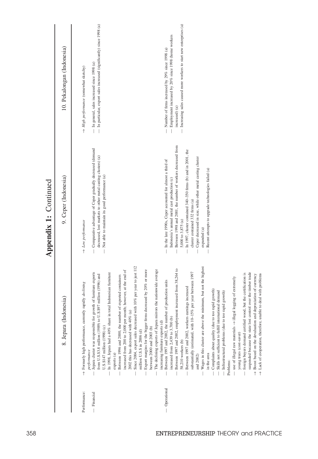|                                                |                                                                                                                                                                                                                                                                                                                                                                                                                                                                                                                                                                                                                                                                                                                                                                                                                                                                                                                                                                                                                                                                                                                                                                                                                                                                                                                                                                                                                                                                                                                                                                                                                                                                                                                                                                                                 | <b>Appendix 1: Continued</b>                                                                                                                                                                                                                                                                                                                                                                                                                                                                                                                                                                                                                                                                                                                          |                                                                                                                                                                                                                                                                                                                                                                                                                                                         |
|------------------------------------------------|-------------------------------------------------------------------------------------------------------------------------------------------------------------------------------------------------------------------------------------------------------------------------------------------------------------------------------------------------------------------------------------------------------------------------------------------------------------------------------------------------------------------------------------------------------------------------------------------------------------------------------------------------------------------------------------------------------------------------------------------------------------------------------------------------------------------------------------------------------------------------------------------------------------------------------------------------------------------------------------------------------------------------------------------------------------------------------------------------------------------------------------------------------------------------------------------------------------------------------------------------------------------------------------------------------------------------------------------------------------------------------------------------------------------------------------------------------------------------------------------------------------------------------------------------------------------------------------------------------------------------------------------------------------------------------------------------------------------------------------------------------------------------------------------------|-------------------------------------------------------------------------------------------------------------------------------------------------------------------------------------------------------------------------------------------------------------------------------------------------------------------------------------------------------------------------------------------------------------------------------------------------------------------------------------------------------------------------------------------------------------------------------------------------------------------------------------------------------------------------------------------------------------------------------------------------------|---------------------------------------------------------------------------------------------------------------------------------------------------------------------------------------------------------------------------------------------------------------------------------------------------------------------------------------------------------------------------------------------------------------------------------------------------------|
|                                                | 8. Jepara (Indonesia)                                                                                                                                                                                                                                                                                                                                                                                                                                                                                                                                                                                                                                                                                                                                                                                                                                                                                                                                                                                                                                                                                                                                                                                                                                                                                                                                                                                                                                                                                                                                                                                                                                                                                                                                                                           | 9. Ceper (Indonesia)                                                                                                                                                                                                                                                                                                                                                                                                                                                                                                                                                                                                                                                                                                                                  | 10. Pekalongan (Indonesia)                                                                                                                                                                                                                                                                                                                                                                                                                              |
| - Operational<br>Performance:<br>$-$ Financial | Since 2004, export sales decreased with 10% per year to just 112<br>Wages in this cluster are above the minimum, but not the highest<br>Between 1997 and 2002, employment increased from 38,264 to<br>The declining exports of Jepara mirrors the nationwide average<br>Export margins for the bigger firms decreased by 20% or more<br>increased from 200 to 2,000 per month; however, at the end of<br>Jepara cluster was responsible for growth of furniture exports<br>substantially (estimated, with 10-15% per year between 1997<br>suspended because the state lost control over the timber trade<br>In 1998, Jepara had a 40% share in total Indonesian furniture<br>- foreign buyers demand certified wood, but the certification is<br>-> Lack of cooperation, therefore, unable to deal with problems<br>from U.S.\$3.8 million (1989) to U.S.\$97 million (1996) and<br>depreciation of currency<br>Between 1996 and 2000, the number of exported containers<br>- use of illegal raw materials $\rightarrow$ illegal logging of extremely<br>Between 1997 and 2002, the number of production units<br>> Formerly high performance, currently rapidly declining<br>Between 1997 and 2002, workers earnings increased<br>Complaints about quality (due to too rapid growth)<br>Skills not sufficient to fulfill international demand<br>- Infrastructural problems (due to too rapid growth)<br>2002 this has decreased with 40% (a)<br>$\rightarrow$ Boost based on the devaluation and<br>increased from 2,439 to 3,700 (b)<br>increasing furniture exports (d)<br>U.S.\$147 million (1998) (c)<br>between 2000 and 2003 (b)<br>million U.S.\$ in 2006 (d)<br>young trees (cost-saver)<br>58,210 workers (b)<br>performance<br>in the area<br>exports (a)<br>and 2002)<br>Problems: | Between 1998 and 2001, the number of workers decreased from<br>Comparative advantage of Ceper gradually decreased (demand<br>In 1997, cluster contained 340-350 firms (b) and in 2001, the<br>decreased, lost markets to other metal casting clusters) (a)<br>Ceper decreased in size, while other metal casting cluster<br>- In the late 1990s, Ceper accounted for almost a third of<br>Recent attempts to upgrade technologies failed (a)<br>Not able to maintain its good performance (a)<br>Indonesia's annual metal cast production (c)<br>cluster contained 332 firms (a)<br>5,000 to 3,875 (a)<br>$\rightarrow$ Low performance<br>expanded (a)<br>$\overline{\phantom{a}}$<br>$\overline{\phantom{a}}$<br>I<br>$\overline{\phantom{a}}$<br>I | Increasing sales caused more workers to start new enterprises (a)<br>- In particular, export sales increased (significantly) since 1998 (a)<br>Employment increased by 20% since 1998 (home workers<br>$-$ Number of firms increased by 29% since 1998 (a)<br>In general, sales increased since 1998 (a)<br>→ High performance (somewhat sketchy)<br>increased) (a)<br>$\overline{\phantom{a}}$<br>$\overline{\phantom{a}}$<br>$\overline{\phantom{a}}$ |
|                                                |                                                                                                                                                                                                                                                                                                                                                                                                                                                                                                                                                                                                                                                                                                                                                                                                                                                                                                                                                                                                                                                                                                                                                                                                                                                                                                                                                                                                                                                                                                                                                                                                                                                                                                                                                                                                 |                                                                                                                                                                                                                                                                                                                                                                                                                                                                                                                                                                                                                                                                                                                                                       |                                                                                                                                                                                                                                                                                                                                                                                                                                                         |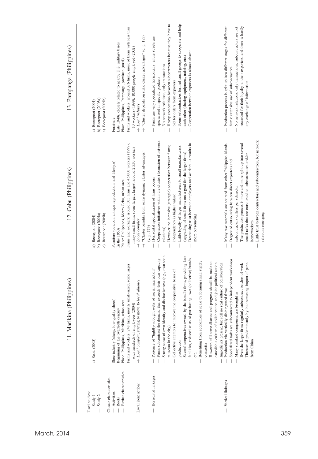|                                                                         | 11. Marikina (Philippines)                                                                                                                                                                                                                                                                                                                                                                                                                                                                                                                                                                                                                                                                                                      | 12. Cebu (Philippines)                                                                                                                                                                                                                                                                                                                                                                                                                                                | 13. Pampanga (Philippines)                                                                                                                                                                                                                                                                                                                                                                                                                    |
|-------------------------------------------------------------------------|---------------------------------------------------------------------------------------------------------------------------------------------------------------------------------------------------------------------------------------------------------------------------------------------------------------------------------------------------------------------------------------------------------------------------------------------------------------------------------------------------------------------------------------------------------------------------------------------------------------------------------------------------------------------------------------------------------------------------------|-----------------------------------------------------------------------------------------------------------------------------------------------------------------------------------------------------------------------------------------------------------------------------------------------------------------------------------------------------------------------------------------------------------------------------------------------------------------------|-----------------------------------------------------------------------------------------------------------------------------------------------------------------------------------------------------------------------------------------------------------------------------------------------------------------------------------------------------------------------------------------------------------------------------------------------|
| Cluster characteristics:<br>Used studies:<br>Study 2<br>Study 1         | a) Scott (2005)                                                                                                                                                                                                                                                                                                                                                                                                                                                                                                                                                                                                                                                                                                                 | b) Beerepoot (2005a)<br>c) Beerepoot (2005b)<br>a) Beerepoot (2004)                                                                                                                                                                                                                                                                                                                                                                                                   | b) Beerepoot (2005a)<br>c) Beerepoot (2005b)<br>a) Beerepoot (2004)                                                                                                                                                                                                                                                                                                                                                                           |
| Further characteristics<br>Local joint action:<br>Activities<br>- Roots | Firms and workers: 248 firms, mostly small-sized, some larger<br>→ Local complex, starting to move to local alliance<br>Shoe industry (cheap, low-quality shoes)<br>Place: Philippines, Marikina, urban area<br>with hundreds of employees (2004)<br>Beginning of the twentieth century                                                                                                                                                                                                                                                                                                                                                                                                                                         | Firms and workers: around 303 firms and 45,000 workers (1999);<br>many small firms; some larger; largest around 2,750 workers<br>$\rightarrow$ "Cluster benefits from some dynamic cluster advantages"<br>Furniture (outdoor, antique reproduction, and lifestyle)<br>Place: Philippines, Metro Cebu, urban area<br>$\rightarrow$ Local complex<br>(c, p. 173)<br>In the 1950s                                                                                        | Firms and workers: around 376 firms, most of them with less than<br>$\rightarrow$ "Cluster depends on static cluster advantages" (c, p. 173)<br>Late 1940s, closely related to nearby U.S. military bases<br>10 workers (1999); 10,000 people employed (2002)<br>Place: Philippines, Pampanga, province (rural)<br>$\rightarrow$ Local industry<br>Furniture                                                                                  |
| - Horizontal linkages                                                   | Strong sense of own identity and distinctiveness (e.g., own shoe<br>by the (small) firms, providing loan<br>facilities, reduced costs of purchasing, own (collective) brands,<br>Firms subcontract the demand that exceeds their own capacity<br>Benefiting from economies of scale by forming small supply<br>However, still some distrust and progress should be made to<br>establish a culture of collaboration and joint political action<br>Ingredients present, but still no real culture of collaboration<br>Presence of "tightly-wrought webs of social interaction"<br>Collective attempts to improve the cooperative bases of<br>Several cooperatives owned<br>museum in the city)<br>production<br>consortia<br>etc. | Cooperation initiatives within the cluster (formation of network<br>Decreasing trust between employers and workers $\rightarrow$ results in<br>Little loyalty of larger manufacturers to small manufacturers<br>However, no intensive (strategic) cooperation between firms;<br>(upgrading of small firms not a goal for the larger firms)<br>Horizontal specialization of firms occurs<br>independency is higher valued<br>more outsourcing<br>relations)            | Heavy competition between subcontractors because they have to<br>Some subcontractors formed small groups to cooperate and help<br>Firms are very specialized horizontally: entire streets are<br>Cooperation between exporters is almost absent<br>each other (sharing equipment, training, etc.)<br>No network relations, only transactions<br>specialized in specific products<br>bid for orders from exporters<br>$\overline{\phantom{a}}$ |
| Vertical linkages                                                       | Specialized tasks are subcontracted to independent workshops<br>Threatened predominantly by the increasing import of parts<br>Even the larger firms regularly subcontract batches of work<br>Production via vertically disintegrated firms<br>Many standard component are brought in<br>from China<br>I                                                                                                                                                                                                                                                                                                                                                                                                                         | Little trust between contractors and subcontractors, but network<br>The production process is more and more split up into several<br>Many raw materials are sourced from other Philippine islands<br>small tasks that are outsourced to subcontractors and/or<br>Degree of outsourcing between direct exporters and<br>subcontractors differs per subsector<br>relations emerging<br>homeworkers<br>$\begin{array}{c} \hline \end{array}$<br>$\overline{\phantom{a}}$ | rewarded for their loyalty to their exporters, and there is hardly<br>Production process is split up into different stages for different<br>No network relations, only transactions: subcontractors are not<br>firms: extensive use of subcontractors<br>any exchange of information<br>$\begin{array}{c} \hline \end{array}$                                                                                                                 |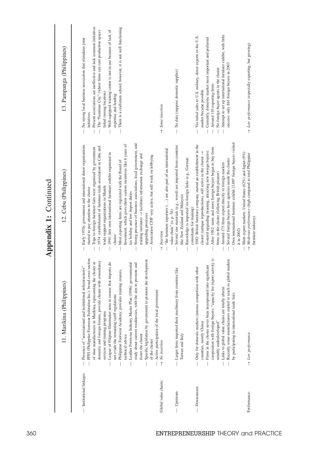|                          |                                                                                                                                                                                                                                                                                                                                                                                                                                                                                                                                                                                                                                                                                                                                                                                                                                             | Appendix 1: Continued                                                                                                                                                                                                                                                                                                                                                                                                                                                                                                                                                                                                                                                                                                                                                                             |                                                                                                                                                                                                                                                                                                                                                                                                                                                                                   |
|--------------------------|---------------------------------------------------------------------------------------------------------------------------------------------------------------------------------------------------------------------------------------------------------------------------------------------------------------------------------------------------------------------------------------------------------------------------------------------------------------------------------------------------------------------------------------------------------------------------------------------------------------------------------------------------------------------------------------------------------------------------------------------------------------------------------------------------------------------------------------------|---------------------------------------------------------------------------------------------------------------------------------------------------------------------------------------------------------------------------------------------------------------------------------------------------------------------------------------------------------------------------------------------------------------------------------------------------------------------------------------------------------------------------------------------------------------------------------------------------------------------------------------------------------------------------------------------------------------------------------------------------------------------------------------------------|-----------------------------------------------------------------------------------------------------------------------------------------------------------------------------------------------------------------------------------------------------------------------------------------------------------------------------------------------------------------------------------------------------------------------------------------------------------------------------------|
|                          | 11. Marikina (Philippines)                                                                                                                                                                                                                                                                                                                                                                                                                                                                                                                                                                                                                                                                                                                                                                                                                  | 12. Cebu (Philippines)                                                                                                                                                                                                                                                                                                                                                                                                                                                                                                                                                                                                                                                                                                                                                                            | 13. Pampanga (Philippines)                                                                                                                                                                                                                                                                                                                                                                                                                                                        |
| - Institutional linkages | PFFI (Philippine Footwear Federation Inc.): broad cross-section<br>Specific legislation by government to promote the development<br>domestic and foreign forums, provide cluster with consultancy<br>of shoe manufacturers in Marikina, representing the cluster in<br>League of Filipino Shoemaker aims to ensure that imports do<br>Leather Footwear Industry Master Plan (1996): governmental<br>study about current weaknesses, with the aim to promote and<br>Presence of "associational and institutional infrastructures"<br>Philippine Footwear Academy: provides training courses,<br>not evade the remaining tariff regulations<br>services and training programs<br>Active participation of the<br>foster the cluster<br>technical advice<br>of the cluster<br>$\overline{\phantom{a}}$<br>$\begin{array}{c} \hline \end{array}$ | Strong presence of business associations, local government, and<br>Investment, which gives them various incentives like 6 years of<br>Early 1970s: government and international donor organizations<br>1974: establishment of furniture trade association in Cebu and<br>Trips to foreign furniture fairs were organized by government<br>1991: first own international furniture exhibit organized in<br>training institutes $\rightarrow$ facilitates information exchange and<br>Association CFIF very active, but still weak on lobbying<br>Most exporting firms are registered with the Board of<br>trade support organizations in Manila<br>started to pay attention to the cluster<br>tax holiday and low import duties<br>upgrading processes<br>cluster<br>$\overline{\phantom{a}}$<br>I | Present associations are ineffective and lack common initiatives<br>There is a craftsmen school; however, it is not well functioning<br>The "Furniture City" (where firms can rent production space)<br>Well-equipped training center is not in use because of lack of<br>No strong local business association that stimulates joint<br>failed (wrong location)<br>expertise and funding<br>initiatives<br>$\overline{\phantom{a}}$<br>$\overline{\phantom{a}}$<br>$\overline{1}$ |
| Global value chains:     | local government<br>$\rightarrow$ No insertion                                                                                                                                                                                                                                                                                                                                                                                                                                                                                                                                                                                                                                                                                                                                                                                              | "the furniture exporters () are also part of an international<br>Insertion<br>$\hat{\uparrow}$                                                                                                                                                                                                                                                                                                                                                                                                                                                                                                                                                                                                                                                                                                    | $\rightarrow$ Some insertion                                                                                                                                                                                                                                                                                                                                                                                                                                                      |
| $-$ Upstream             | machinery from countries like<br>- Larger firms imported their<br>Taiwan and Italy                                                                                                                                                                                                                                                                                                                                                                                                                                                                                                                                                                                                                                                                                                                                                          | Several raw materials (e.g., wood) are imported from countries<br>Knowledge is imported via foreign links (e.g., German<br>like New Zealand and Malaysia<br>consultants for training)<br>value chain" (e, p. 54)                                                                                                                                                                                                                                                                                                                                                                                                                                                                                                                                                                                  | No data (suppose domestic supplies)<br>$\begin{array}{c} \hline \end{array}$                                                                                                                                                                                                                                                                                                                                                                                                      |
| - Downstream             | cooperation with foreign buyers: "capacity for export activity is<br>Recently some manufacturers started to reach to global markets<br>been incorporated into significant<br>(intense competition with other<br>Links to global value chains are totally absent<br>by participating in international trade fairs<br>- Only for domestic markets<br>Firms in the cluster never<br>notably underdeveloped"<br>countries, mostly China)                                                                                                                                                                                                                                                                                                                                                                                                        | Own international furniture exhibit (3,097 foreign buyers visited<br>1982: British furniture company started an establishment in the<br>After 1982: more and more foreign buyers began to buy from<br>fostered upgrading (training, attracting new foreign buyers)<br>cluster (antique reproductions), still active in the cluster -<br>Several foreign buyers have agencies inside the cluster<br>Around 175 firms export directly to foreign markets<br>firms in the cluster (following British pioneer)<br>it in 2002)                                                                                                                                                                                                                                                                         | Attempt to set up international furniture exhibit, with little<br>Via initial sales to U.S. military, direct exports to the U.S.<br>Currently, domestic market most important and preferred<br>success: only 861 foreign buyers in 2003<br>No foreign buyer agents in the cluster<br>Around 110 exporting firms<br>market became possible<br>$\begin{array}{c} \hline \end{array}$<br>$\overline{1}$                                                                              |
| Performance:             | $\rightarrow$ Low performance                                                                                                                                                                                                                                                                                                                                                                                                                                                                                                                                                                                                                                                                                                                                                                                                               | Main export markets: United States (62%) and Japan (9%)<br>Moderate performance (high compared to total Philippine<br>furniture industry)<br>$\mathbb{L}$<br>$\uparrow$                                                                                                                                                                                                                                                                                                                                                                                                                                                                                                                                                                                                                           | $\rightarrow$ Low performance (especially exporting, but growing)                                                                                                                                                                                                                                                                                                                                                                                                                 |
|                          |                                                                                                                                                                                                                                                                                                                                                                                                                                                                                                                                                                                                                                                                                                                                                                                                                                             |                                                                                                                                                                                                                                                                                                                                                                                                                                                                                                                                                                                                                                                                                                                                                                                                   |                                                                                                                                                                                                                                                                                                                                                                                                                                                                                   |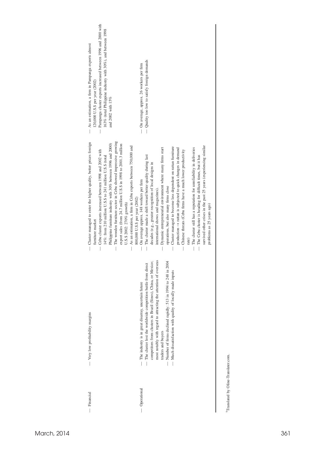| Pampanga cluster exports increased between 1996 and 2000 with<br>163% (total Philippine industry with 30%), and between 1998<br>- As an estimation, a firm in Pampanga exports almost<br>120,000 U.S.\$ per year (2002)<br>and 2002 with 15%<br>$\overline{\phantom{a}}$                                                                                                                                                                                                                                                                                                                                                                 | - Quality too low to satisfy foreign demands<br>- On average, approx. 26 workers per firm                                                                                                                                                                                                                                                                                                                                                                                                                                                                                                                                                                                                                                                                                                                                                                                                                                                           |
|------------------------------------------------------------------------------------------------------------------------------------------------------------------------------------------------------------------------------------------------------------------------------------------------------------------------------------------------------------------------------------------------------------------------------------------------------------------------------------------------------------------------------------------------------------------------------------------------------------------------------------------|-----------------------------------------------------------------------------------------------------------------------------------------------------------------------------------------------------------------------------------------------------------------------------------------------------------------------------------------------------------------------------------------------------------------------------------------------------------------------------------------------------------------------------------------------------------------------------------------------------------------------------------------------------------------------------------------------------------------------------------------------------------------------------------------------------------------------------------------------------------------------------------------------------------------------------------------------------|
| The wooden furniture sector in Cebu showed impressive growing<br>Cluster managed to enter the higher quality, better prices foreign<br>Philippine furniture industry with 30% between 1996 and 2000)<br>export sales (from 24.7 million U.S.\$ in 1998 to 2001.3 million<br>As an estimation, a firm in Cebu exports between 750,000 and<br>Cebu cluster exports increased between 1998 and 2002 with<br>14%: from 210 million U.S.\$ to 241 million U.S.\$ (total<br>800,000 U.S.S per year (2002)<br>U.S.\$ 2002: 270% growth)<br>furniture market<br>$\overline{\phantom{a}}$<br>$\overline{\phantom{a}}$<br>$\overline{\phantom{a}}$ | survived other crises in the past 25 years (experiencing similar<br>Cluster managed to become less dependent on rattan furniture<br>Dynamic entrepreneurial environment where many firms start<br>- The cluster still has a reputation for unreliability in deliveries<br>production $\rightarrow$ rattan is subjected to quick changes in demand<br>Chinese threats (Cebu firms have a much lower productivity<br>The cluster made a shift toward better quality during last<br>The Cebu cluster is heading for difficult times, but it has<br>decades (e.g., greater recognition of local designs in<br>On average approx. 148 workers per firm<br>operations, but also many firms close<br>international shows and magazines).<br>problems as 25 years ago)<br>$\overline{\phantom{a}}$<br>$\begin{array}{c} \hline \end{array}$<br>$\overline{\phantom{a}}$<br>$\overline{\phantom{a}}$<br>$\overline{\phantom{a}}$<br>$\overline{\phantom{a}}$ |
| - Very low profitability margins                                                                                                                                                                                                                                                                                                                                                                                                                                                                                                                                                                                                         | most notably with regard to attracting the attention of overseas<br>Number of firms declined rapidly: 513 in 1994 to 248 in 2004<br>Brazil (Sinos), China, or Mexico;<br>- The cluster lost the worldwide competition battle from direct<br>Much dissatisfaction with quality of locally made inputs<br>- The industry is in great disarray, uncertain future<br>competitors from clusters in<br>traders and buyers<br>$\overline{\phantom{a}}$                                                                                                                                                                                                                                                                                                                                                                                                                                                                                                     |
| - Financial                                                                                                                                                                                                                                                                                                                                                                                                                                                                                                                                                                                                                              | $-$ Operational                                                                                                                                                                                                                                                                                                                                                                                                                                                                                                                                                                                                                                                                                                                                                                                                                                                                                                                                     |

<sup>†</sup>Translated by Oline-Translater.com. **†**Translated by Oline-Translater.com.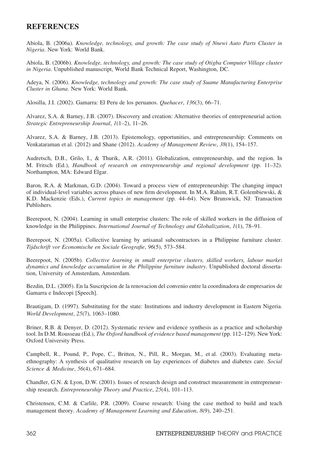# **REFERENCES**

Abiola, B. (2006a). *Knowledge, technology, and growth: The case study of Nnewi Auto Parts Cluster in Nigeria*. New York: World Bank.

Abiola, B. (2006b). *Knowledge, technology, and growth: The case study of Otigba Computer Village cluster in Nigeria*. Unpublished manuscript, World Bank Technical Report, Washington, DC.

Adeya, N. (2006). *Knowledge, technology and growth: The case study of Suame Manufacturing Enterprise Cluster in Ghana*. New York: World Bank.

Alosilla, J.I. (2002). Gamarra: El Peru de los peruanos. *Quehacer*, *136*(3), 66–71.

Alvarez, S.A. & Barney, J.B. (2007). Discovery and creation: Alternative theories of entrepreneurial action. *Strategic Entrepreneurship Journal*, *1*(1–2), 11–26.

Alvarez, S.A. & Barney, J.B. (2013). Epistemology, opportunities, and entrepreneurship: Comments on Venkataraman et al. (2012) and Shane (2012). *Academy of Management Review*, *38*(1), 154–157.

Audretsch, D.B., Grilo, I., & Thurik, A.R. (2011). Globalization, entrepreneurship, and the region. In M. Fritsch (Ed.), *Handbook of research on entrepreneurship and regional development* (pp. 11–32). Northampton, MA: Edward Elgar.

Baron, R.A. & Markman, G.D. (2004). Toward a process view of entrepreneurship: The changing impact of individual-level variables across phases of new firm development. In M.A. Rahim, R.T. Golembiewski, & K.D. Mackenzie (Eds.), *Current topics in management* (pp. 44–64). New Brunswick, NJ: Transaction Publishers.

Beerepoot, N. (2004). Learning in small enterprise clusters: The role of skilled workers in the diffusion of knowledge in the Philippines. *International Journal of Technology and Globalization*, *1*(1), 78–91.

Beerepoot, N. (2005a). Collective learning by artisanal subcontractors in a Philippine furniture cluster. *Tijdschrift vor Economische en Sociale Geografie*, *96*(5), 573–584.

Beerepoot, N. (2005b). *Collective learning in small enterprise clusters, skilled workers, labour market dynamics and knowledge accumulation in the Philippine furniture industry*. Unpublished doctoral dissertation, University of Amsterdam, Amsterdam.

Bezdin, D.L. (2005). En la Suscripcion de la renovacion del convenio entre la coordinadora de empresarios de Gamarra e Indecopi [Speech].

Brautigam, D. (1997). Substituting for the state: Institutions and industry development in Eastern Nigeria. *World Development*, *25*(7), 1063–1080.

Briner, R.B. & Denyer, D. (2012). Systematic review and evidence synthesis as a practice and scholarship tool. In D.M. Rousseau (Ed.), *The Oxford handbook of evidence based management* (pp. 112–129). NewYork: Oxford University Press.

Campbell, R., Pound, P., Pope, C., Britten, N., Pill, R., Morgan, M., et al. (2003). Evaluating metaethnography: A synthesis of qualitative research on lay experiences of diabetes and diabetes care. *Social Science & Medicine*, *56*(4), 671–684.

Chandler, G.N. & Lyon, D.W. (2001). Issues of research design and construct measurement in entrepreneurship research. *Entrepreneurship Theory and Practice*, *25*(4), 101–113.

Christensen, C.M. & Carlile, P.R. (2009). Course research: Using the case method to build and teach management theory. *Academy of Management Learning and Education*, *8*(9), 240–251.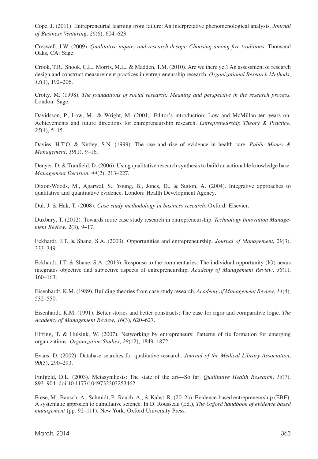Cope, J. (2011). Entrepreneurial learning from failure: An interpretative phenomenological analysis. *Journal of Business Venturing*, *26*(6), 604–623.

Creswell, J.W. (2009). *Qualitative inquiry and research design: Choosing among five traditions*. Thousand Oaks, CA: Sage.

Crook, T.R., Shook, C.L., Morris, M.L., & Madden, T.M. (2010). Are we there yet? An assessment of research design and construct measurement practices in entrepreneurship research. *Organizational Research Methods*, *13*(1), 192–206.

Crotty, M. (1998). *The foundations of social research: Meaning and perspective in the research process*. London: Sage.

Davidsson, P., Low, M., & Wright, M. (2001). Editor's introduction: Low and McMillan ten years on: Achievements and future directions for entrepreneurship research. *Entrepreneurship Theory & Practice*, *25*(4), 5–15.

Davies, H.T.O. & Nutley, S.N. (1999). The rise and rise of evidence in health care. *Public Money & Management*, *19*(1), 9–16.

Denyer, D. & Tranfield, D. (2006). Using qualitative research synthesis to build an actionable knowledge base. *Management Decision*, *44*(2), 213–227.

Dixon-Woods, M., Agarwal, S., Young, B., Jones, D., & Sutton, A. (2004). Integrative approaches to qualitative and quantitative evidence. London: Health Development Agency.

Dul, J. & Hak, T. (2008). *Case study methodology in business research*. Oxford: Elsevier.

Duxbury, T. (2012). Towards more case study research in entrepreneurship. *Technology Innovation Management Review*, *2*(3), 9–17.

Eckhardt, J.T. & Shane, S.A. (2003). Opportunities and entrepreneurship. *Journal of Management*, *29*(3), 333–349.

Eckhardt, J.T. & Shane, S.A. (2013). Response to the commentaries: The individual-opportunity (IO) nexus integrates objective and subjective aspects of entrepreneurship. *Academy of Management Review*, *38*(1), 160–163.

Eisenhardt, K.M. (1989). Building theories from case study research. *Academy of Management Review*, *14*(4), 532–550.

Eisenhardt, K.M. (1991). Better stories and better constructs: The case for rigor and comparative logic. *The Academy of Management Review*, *16*(3), 620–627.

Elfring, T. & Hulsink, W. (2007). Networking by entrepreneurs: Patterns of tie formation for emerging organizations. *Organization Studies*, *28*(12), 1849–1872.

Evans, D. (2002). Database searches for qualitative research. *Journal of the Medical Library Association*, *90*(3), 290–293.

Finfgeld, D.L. (2003). Metasynthesis: The state of the art—So far. *Qualitative Health Research*, *13*(7), 893–904. doi:10.1177/1049732303253462

Frese, M., Bausch, A., Schmidt, P., Rauch, A., & Kabst, R. (2012a). Evidence-based entrepreneurship (EBE): A systematic approach to cumulative science. In D. Rousseau (Ed.), *The Oxford handbook of evidence based management* (pp. 92–111). New York: Oxford University Press.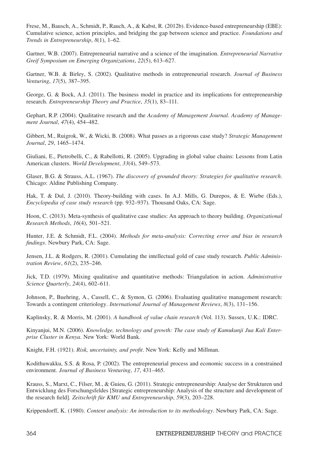Frese, M., Bausch, A., Schmidt, P., Rauch, A., & Kabst, R. (2012b). Evidence-based entrepreneurship (EBE): Cumulative science, action principles, and bridging the gap between science and practice. *Foundations and Trends in Entrepreneurship*, *8*(1), 1–62.

Gartner, W.B. (2007). Entrepreneurial narrative and a science of the imagination. *Entrepreneurial Narrative Greif Symposium on Emerging Organizations*, *22*(5), 613–627.

Gartner, W.B. & Birley, S. (2002). Qualitative methods in entrepreneurial research. *Journal of Business Venturing*, *17*(5), 387–395.

George, G. & Bock, A.J. (2011). The business model in practice and its implications for entrepreneurship research. *Entrepreneurship Theory and Practice*, *35*(1), 83–111.

Gephart, R.P. (2004). Qualitative research and the *Academy of Management Journal*. *Academy of Management Journal*, *47*(4), 454–482.

Gibbert, M., Ruigrok, W., & Wicki, B. (2008). What passes as a rigorous case study? *Strategic Management Journal*, *29*, 1465–1474.

Giuliani, E., Pietrobelli, C., & Rabellotti, R. (2005). Upgrading in global value chains: Lessons from Latin American clusters. *World Development*, *33*(4), 549–573.

Glaser, B.G. & Strauss, A.L. (1967). *The discovery of grounded theory: Strategies for qualitative research*. Chicago: Aldine Publishing Company.

Hak, T. & Dul, J. (2010). Theory-building with cases. In A.J. Mills, G. Durepos, & E. Wiebe (Eds.), *Encyclopedia of case study research* (pp. 932–937). Thousand Oaks, CA: Sage.

Hoon, C. (2013). Meta-synthesis of qualitative case studies: An approach to theory building. *Organizational Research Methods*, *16*(4), 501–521.

Hunter, J.E. & Schmidt, F.L. (2004). *Methods for meta-analysis: Correcting error and bias in research findings*. Newbury Park, CA: Sage.

Jensen, J.L. & Rodgers, R. (2001). Cumulating the intellectual gold of case study research. *Public Administration Review*, *61*(2), 235–246.

Jick, T.D. (1979). Mixing qualitative and quantitative methods: Triangulation in action. *Administrative Science Quarterly*, *24*(4), 602–611.

Johnson, P., Buehring, A., Cassell, C., & Symon, G. (2006). Evaluating qualitative management research: Towards a contingent criteriology. *International Journal of Management Reviews*, *8*(3), 131–156.

Kaplinsky, R. & Morris, M. (2001). *A handbook of value chain research* (Vol. 113). Sussex, U.K.: IDRC.

Kinyanjui, M.N. (2006). *Knowledge, technology and growth: The case study of Kamukunji Jua Kali Enterprise Cluster in Kenya*. New York: World Bank.

Knight, F.H. (1921). *Risk, uncertainty, and profit*. New York: Kelly and Millman.

Kodithuwakku, S.S. & Rosa, P. (2002). The entrepreneurial process and economic success in a constrained environment. *Journal of Business Venturing*, *17*, 431–465.

Krauss, S., Marxt, C., Filser, M., & Guieu, G. (2011). Strategic entrepreneurship: Analyse der Strukturen und Entwicklung des Forschungsfeldes [Strategic entrepreneurship: Analysis of the structure and development of the research field]. *Zeitschrift für KMU und Entrepreneurship*, *59*(3), 203–228.

Krippendorff, K. (1980). *Content analysis: An introduction to its methodology*. Newbury Park, CA: Sage.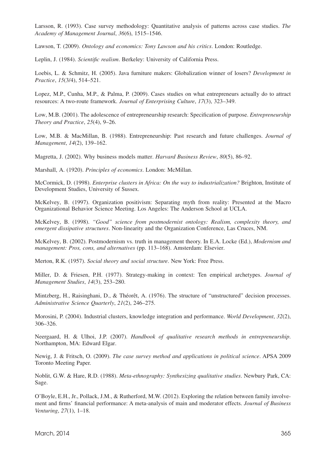Larsson, R. (1993). Case survey methodology: Quantitative analysis of patterns across case studies. *The Academy of Management Journal*, *36*(6), 1515–1546.

Lawson, T. (2009). *Ontology and economics: Tony Lawson and his critics*. London: Routledge.

Leplin, J. (1984). *Scientific realism*. Berkeley: University of California Press.

Loebis, L. & Schmitz, H. (2005). Java furniture makers: Globalization winner of losers? *Development in Practice*, *15*(3/4), 514–521.

Lopez, M.P., Cunha, M.P., & Palma, P. (2009). Cases studies on what entrepreneurs actually do to attract resources: A two-route framework. *Journal of Enterprising Culture*, *17*(3), 323–349.

Low, M.B. (2001). The adolescence of entrepreneurship research: Specification of purpose. *Entrepreneurship Theory and Practice*, *25*(4), 9–26.

Low, M.B. & MacMillan, B. (1988). Entrepreneurship: Past research and future challenges. *Journal of Management*, *14*(2), 139–162.

Magretta, J. (2002). Why business models matter. *Harvard Business Review*, *80*(5), 86–92.

Marshall, A. (1920). *Principles of economics*. London: McMillan.

McCormick, D. (1998). *Enterprise clusters in Africa: On the way to industrialization?* Brighton, Institute of Development Studies, University of Sussex.

McKelvey, B. (1997). Organization positivism: Separating myth from reality: Presented at the Macro Organizational Behavior Science Meeting. Los Angeles: The Anderson School at UCLA.

McKelvey, B. (1998). *"Good" science from postmodernist ontology: Realism, complexity theory, and emergent dissipative structures*. Non-linearity and the Organization Conference, Las Cruces, NM.

McKelvey, B. (2002). Postmodernism vs. truth in management theory. In E.A. Locke (Ed.), *Modernism and management: Pros, cons, and alternatives* (pp. 113–168). Amsterdam: Elsevier.

Merton, R.K. (1957). *Social theory and social structure*. New York: Free Press.

Miller, D. & Friesen, P.H. (1977). Strategy-making in context: Ten empirical archetypes. *Journal of Management Studies*, *14*(3), 253–280.

Mintzberg, H., Raisinghani, D., & Théorêt, A. (1976). The structure of "unstructured" decision processes. *Administrative Science Quarterly*, *21*(2), 246–275.

Morosini, P. (2004). Industrial clusters, knowledge integration and performance. *World Development*, *32*(2), 306–326.

Neergaard, H. & Ulhoi, J.P. (2007). *Handbook of qualitative research methods in entrepreneurship*. Northampton, MA: Edward Elgar.

Newig, J. & Fritsch, O. (2009). *The case survey method and applications in political science*. APSA 2009 Toronto Meeting Paper.

Noblit, G.W. & Hare, R.D. (1988). *Meta-ethnography: Synthesizing qualitative studies*. Newbury Park, CA: Sage.

O'Boyle, E.H., Jr., Pollack, J.M., & Rutherford, M.W. (2012). Exploring the relation between family involvement and firms' financial performance: A meta-analysis of main and moderator effects. *Journal of Business Venturing*, *27*(1), 1–18.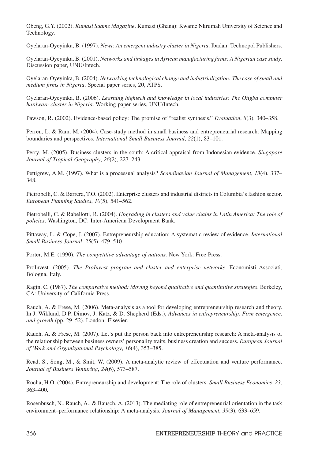Obeng, G.Y. (2002). *Kumasi Suame Magazine*. Kumasi (Ghana): Kwame Nkrumah University of Science and Technology.

Oyelaran-Oyeyinka, B. (1997). *Newi: An emergent industry cluster in Nigeria*. Ibadan: Technopol Publishers.

Oyelaran-Oyeyinka, B. (2001). *Networks and linkages in African manufacturing firms: A Nigerian case study*. Discussion paper, UNU/Intech.

Oyelaran-Oyeyinka, B. (2004). *Networking technological change and industrialization: The case of small and medium firms in Nigeria*. Special paper series, 20, ATPS.

Oyelaran-Oyeyinka, B. (2006). *Learning hightech and knowledge in local industries: The Otigba computer hardware cluster in Nigeria*. Working paper series, UNU/Intech.

Pawson, R. (2002). Evidence-based policy: The promise of "realist synthesis." *Evaluation*, *8*(3), 340–358.

Perren, L. & Ram, M. (2004). Case-study method in small business and entrepreneurial research: Mapping boundaries and perspectives. *International Small Business Journal*, *22*(1), 83–101.

Perry, M. (2005). Business clusters in the south: A critical appraisal from Indonesian evidence. *Singapore Journal of Tropical Geography*, *26*(2), 227–243.

Pettigrew, A.M. (1997). What is a processual analysis? *Scandinavian Journal of Management*, *13*(4), 337– 348.

Pietrobelli, C. & Barrera, T.O. (2002). Enterprise clusters and industrial districts in Columbia's fashion sector. *European Planning Studies*, *10*(5), 541–562.

Pietrobelli, C. & Rabellotti, R. (2004). *Upgrading in clusters and value chains in Latin America: The role of policies*. Washington, DC: Inter-American Development Bank.

Pittaway, L. & Cope, J. (2007). Entrepreneurship education: A systematic review of evidence. *International Small Business Journal*, *25*(5), 479–510.

Porter, M.E. (1990). *The competitive advantage of nations*. New York: Free Press.

ProInvest. (2005). *The ProInvest program and cluster and enterprise networks*. Economisti Associati, Bologna, Italy.

Ragin, C. (1987). *The comparative method: Moving beyond qualitative and quantitative strategies*. Berkeley, CA: University of California Press.

Rauch, A. & Frese, M. (2006). Meta-analysis as a tool for developing entrepreneurship research and theory. In J. Wiklund, D.P. Dimov, J. Katz, & D. Shepherd (Eds.), *Advances in entrepreneurship, Firm emergence, and growth* (pp. 29–52). London: Elsevier.

Rauch, A. & Frese, M. (2007). Let's put the person back into entrepreneurship research: A meta-analysis of the relationship between business owners' personality traits, business creation and success. *European Journal of Work and Organizational Psychology*, *16*(4), 353–385.

Read, S., Song, M., & Smit, W. (2009). A meta-analytic review of effectuation and venture performance. *Journal of Business Venturing*, *24*(6), 573–587.

Rocha, H.O. (2004). Entrepreneurship and development: The role of clusters. *Small Business Economics*, *23*, 363–400.

Rosenbusch, N., Rauch, A., & Bausch, A. (2013). The mediating role of entrepreneurial orientation in the task environment–performance relationship: A meta-analysis. *Journal of Management*, *39*(3), 633–659.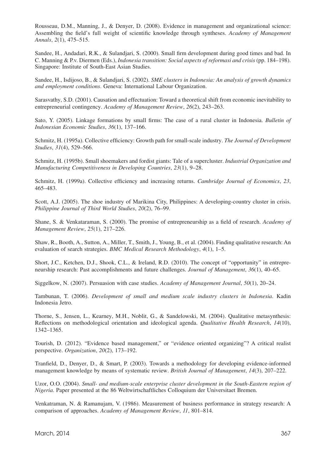Rousseau, D.M., Manning, J., & Denyer, D. (2008). Evidence in management and organizational science: Assembling the field's full weight of scientific knowledge through syntheses. *Academy of Management Annals*, *2*(1), 475–515.

Sandee, H., Andadari, R.K., & Sulandjari, S. (2000). Small firm development during good times and bad. In C. Manning & P.v. Diermen (Eds.), *Indonesia transition: Social aspects of reformasi and crisis* (pp. 184–198). Singapore: Institute of South-East Asian Studies.

Sandee, H., Isdijoso, B., & Sulandjari, S. (2002). *SME clusters in Indonesia: An analysis of growth dynamics and employment conditions*. Geneva: International Labour Organization.

Sarasvathy, S.D. (2001). Causation and effectuation: Toward a theoretical shift from economic inevitability to entrepreneurial contingency. *Academy of Management Review*, *26*(2), 243–263.

Sato, Y. (2005). Linkage formations by small firms: The case of a rural cluster in Indonesia. *Bulletin of Indonesian Economic Studies*, *36*(1), 137–166.

Schmitz, H. (1995a). Collective efficiency: Growth path for small-scale industry. *The Journal of Development Studies*, *31*(4), 529–566.

Schmitz, H. (1995b). Small shoemakers and fordist giants: Tale of a supercluster. *Industrial Organization and Manufacturing Competitiveness in Developing Countries*, *23*(1), 9–28.

Schmitz, H. (1999a). Collective efficiency and increasing returns. *Cambridge Journal of Economics*, *23*, 465–483.

Scott, A.J. (2005). The shoe industry of Marikina City, Philippines: A developing-country cluster in crisis. *Philippine Journal of Third World Studies*, *20*(2), 76–99.

Shane, S. & Venkataraman, S. (2000). The promise of entrepreneurship as a field of research. *Academy of Management Review*, *25*(1), 217–226.

Shaw, R., Booth, A., Sutton, A., Miller, T., Smith, J., Young, B., et al. (2004). Finding qualitative research: An evaluation of search strategies. *BMC Medical Research Methodology*, *4*(1), 1–5.

Short, J.C., Ketchen, D.J., Shook, C.L., & Ireland, R.D. (2010). The concept of "opportunity" in entrepreneurship research: Past accomplishments and future challenges. *Journal of Management*, *36*(1), 40–65.

Siggelkow, N. (2007). Persuasion with case studies. *Academy of Management Journal*, *50*(1), 20–24.

Tambunan, T. (2006). *Development of small and medium scale industry clusters in Indonesia*. Kadin Indonesia Jetro.

Thorne, S., Jensen, L., Kearney, M.H., Noblit, G., & Sandelowski, M. (2004). Qualitative metasynthesis: Reflections on methodological orientation and ideological agenda. *Qualitative Health Research*, *14*(10), 1342–1365.

Tourish, D. (2012). "Evidence based management," or "evidence oriented organizing"? A critical realist perspective. *Organization*, *20*(2), 173–192.

Tranfield, D., Denyer, D., & Smart, P. (2003). Towards a methodology for developing evidence-informed management knowledge by means of systematic review. *British Journal of Management*, *14*(3), 207–222.

Uzor, O.O. (2004). *Small- and medium-scale enterprise cluster development in the South-Eastern region of Nigeria*. Paper presented at the 86 Weltwirtschaftliches Colloquium der Universitaet Bremen.

Venkatraman, N. & Ramanujam, V. (1986). Measurement of business performance in strategy research: A comparison of approaches. *Academy of Management Review*, *11*, 801–814.